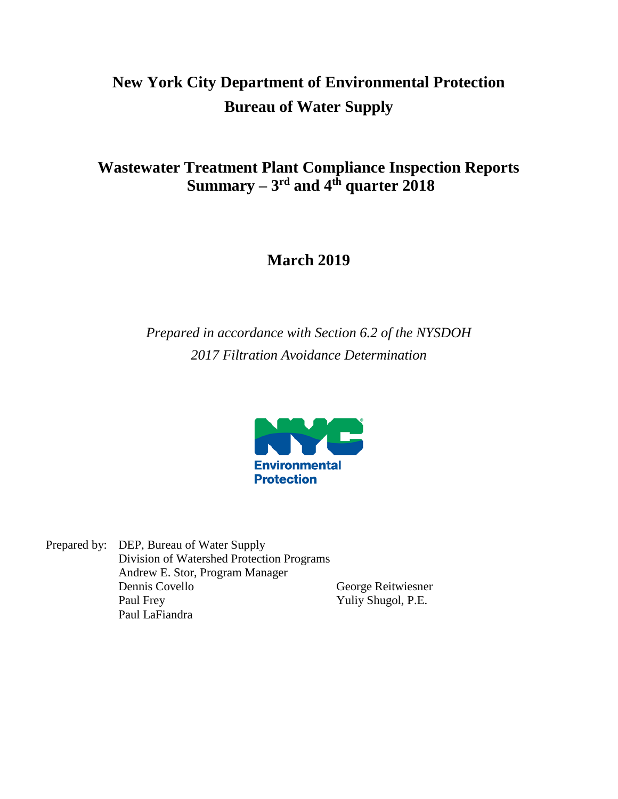# **New York City Department of Environmental Protection Bureau of Water Supply**

**Wastewater Treatment Plant Compliance Inspection Reports Summary – 3 rd and 4 th quarter 2018**

# **March 2019**

# *Prepared in accordance with Section 6.2 of the NYSDOH 2017 Filtration Avoidance Determination*



Prepared by: DEP, Bureau of Water Supply Division of Watershed Protection Programs Andrew E. Stor, Program Manager Dennis Covello George Reitwiesner Paul Frey Yuliy Shugol, P.E. Paul LaFiandra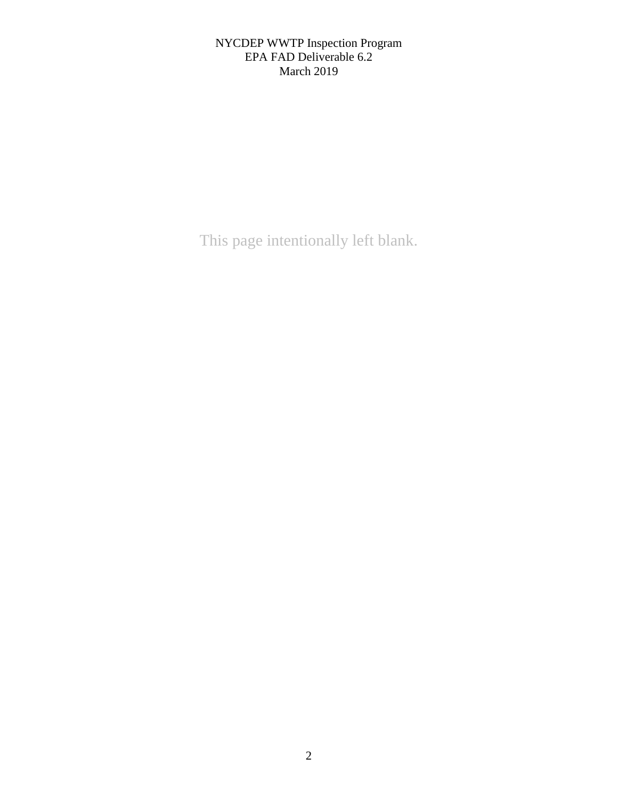This page intentionally left blank.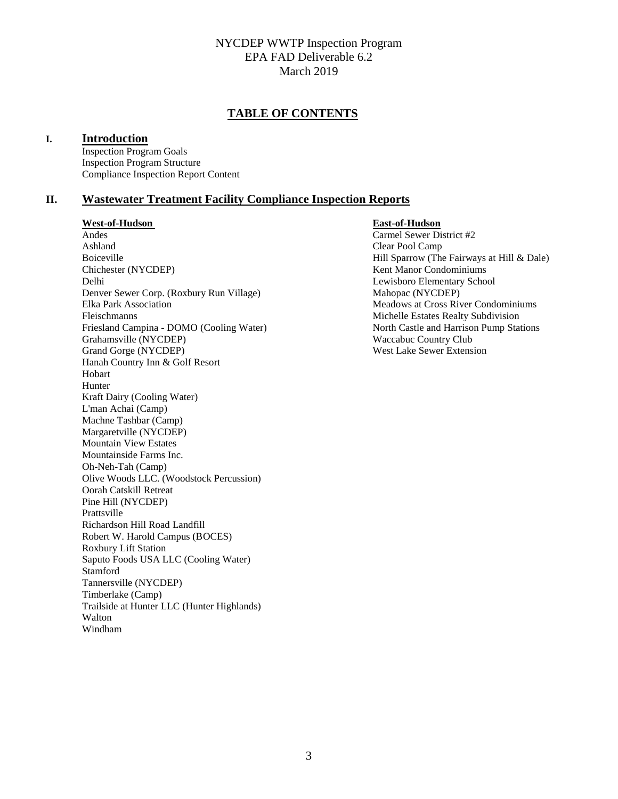### **TABLE OF CONTENTS**

#### **I. Introduction**

Inspection Program Goals Inspection Program Structure Compliance Inspection Report Content

#### **II. Wastewater Treatment Facility Compliance Inspection Reports**

#### **West-of-Hudson East-of-Hudson**

Andes Carmel Sewer District #2 Ashland Clear Pool Camp Boiceville **Hill Sparrow** (The Fairways at Hill & Dale) Chichester (NYCDEP) Kent Manor Condominiums Delhi Lewisboro Elementary School Denver Sewer Corp. (Roxbury Run Village) Mahopac (NYCDEP) Elka Park Association **Meadows at Cross River Condominiums** Meadows at Cross River Condominiums Fleischmanns Michelle Estates Realty Subdivision Friesland Campina - DOMO (Cooling Water) North Castle and Harrison Pump Stations Grahamsville (NYCDEP) Waccabuc Country Club<br>Grand Gorge (NYCDEP) West Lake Sewer Extens Hanah Country Inn & Golf Resort Hobart Hunter Kraft Dairy (Cooling Water) L'man Achai (Camp) Machne Tashbar (Camp) Margaretville (NYCDEP) Mountain View Estates Mountainside Farms Inc. Oh-Neh-Tah (Camp) Olive Woods LLC. (Woodstock Percussion) Oorah Catskill Retreat Pine Hill (NYCDEP) Prattsville Richardson Hill Road Landfill Robert W. Harold Campus (BOCES) Roxbury Lift Station Saputo Foods USA LLC (Cooling Water) Stamford Tannersville (NYCDEP) Timberlake (Camp) Trailside at Hunter LLC (Hunter Highlands) Walton Windham

West Lake Sewer Extension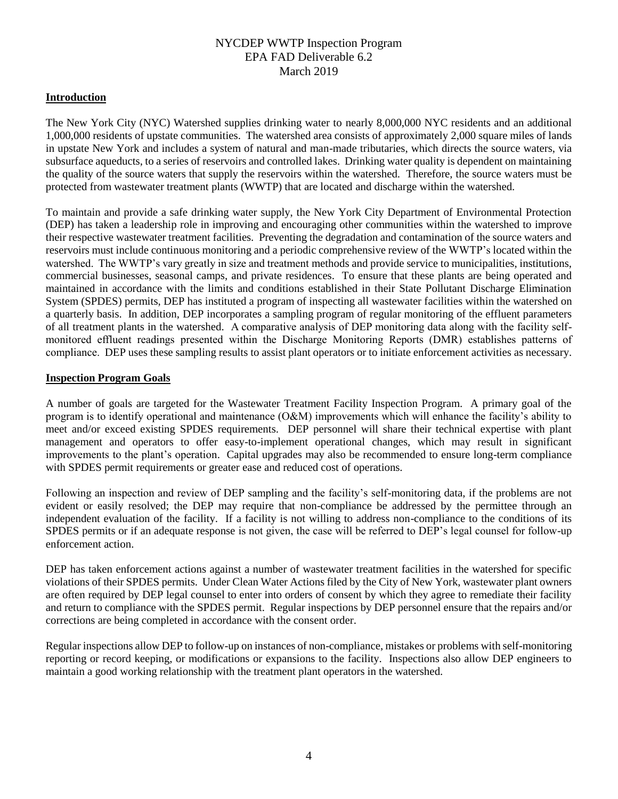### **Introduction**

The New York City (NYC) Watershed supplies drinking water to nearly 8,000,000 NYC residents and an additional 1,000,000 residents of upstate communities. The watershed area consists of approximately 2,000 square miles of lands in upstate New York and includes a system of natural and man-made tributaries, which directs the source waters, via subsurface aqueducts, to a series of reservoirs and controlled lakes. Drinking water quality is dependent on maintaining the quality of the source waters that supply the reservoirs within the watershed. Therefore, the source waters must be protected from wastewater treatment plants (WWTP) that are located and discharge within the watershed.

To maintain and provide a safe drinking water supply, the New York City Department of Environmental Protection (DEP) has taken a leadership role in improving and encouraging other communities within the watershed to improve their respective wastewater treatment facilities. Preventing the degradation and contamination of the source waters and reservoirs must include continuous monitoring and a periodic comprehensive review of the WWTP's located within the watershed. The WWTP's vary greatly in size and treatment methods and provide service to municipalities, institutions, commercial businesses, seasonal camps, and private residences. To ensure that these plants are being operated and maintained in accordance with the limits and conditions established in their State Pollutant Discharge Elimination System (SPDES) permits, DEP has instituted a program of inspecting all wastewater facilities within the watershed on a quarterly basis. In addition, DEP incorporates a sampling program of regular monitoring of the effluent parameters of all treatment plants in the watershed. A comparative analysis of DEP monitoring data along with the facility selfmonitored effluent readings presented within the Discharge Monitoring Reports (DMR) establishes patterns of compliance. DEP uses these sampling results to assist plant operators or to initiate enforcement activities as necessary.

#### **Inspection Program Goals**

A number of goals are targeted for the Wastewater Treatment Facility Inspection Program. A primary goal of the program is to identify operational and maintenance (O&M) improvements which will enhance the facility's ability to meet and/or exceed existing SPDES requirements. DEP personnel will share their technical expertise with plant management and operators to offer easy-to-implement operational changes, which may result in significant improvements to the plant's operation. Capital upgrades may also be recommended to ensure long-term compliance with SPDES permit requirements or greater ease and reduced cost of operations.

Following an inspection and review of DEP sampling and the facility's self-monitoring data, if the problems are not evident or easily resolved; the DEP may require that non-compliance be addressed by the permittee through an independent evaluation of the facility. If a facility is not willing to address non-compliance to the conditions of its SPDES permits or if an adequate response is not given, the case will be referred to DEP's legal counsel for follow-up enforcement action.

DEP has taken enforcement actions against a number of wastewater treatment facilities in the watershed for specific violations of their SPDES permits. Under Clean Water Actions filed by the City of New York, wastewater plant owners are often required by DEP legal counsel to enter into orders of consent by which they agree to remediate their facility and return to compliance with the SPDES permit. Regular inspections by DEP personnel ensure that the repairs and/or corrections are being completed in accordance with the consent order.

Regular inspections allow DEP to follow-up on instances of non-compliance, mistakes or problems with self-monitoring reporting or record keeping, or modifications or expansions to the facility. Inspections also allow DEP engineers to maintain a good working relationship with the treatment plant operators in the watershed.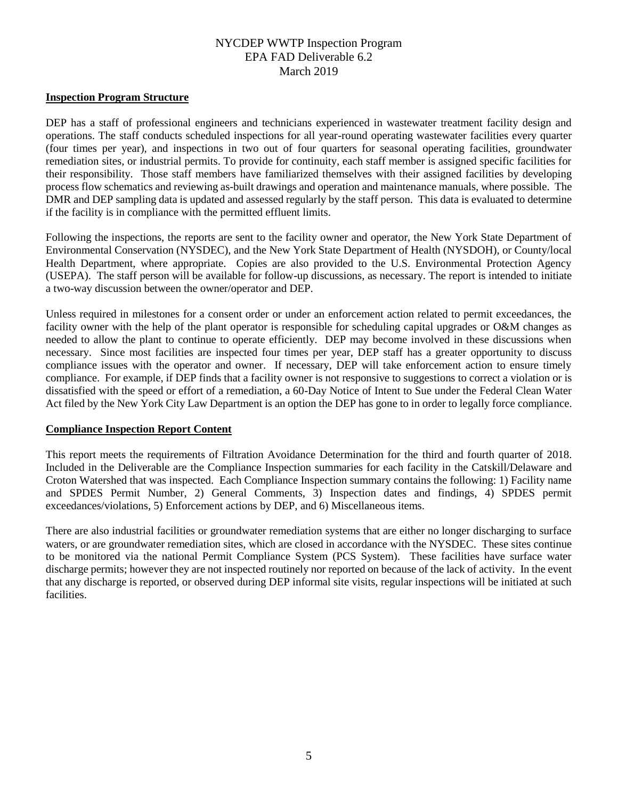#### **Inspection Program Structure**

DEP has a staff of professional engineers and technicians experienced in wastewater treatment facility design and operations. The staff conducts scheduled inspections for all year-round operating wastewater facilities every quarter (four times per year), and inspections in two out of four quarters for seasonal operating facilities, groundwater remediation sites, or industrial permits. To provide for continuity, each staff member is assigned specific facilities for their responsibility. Those staff members have familiarized themselves with their assigned facilities by developing process flow schematics and reviewing as-built drawings and operation and maintenance manuals, where possible. The DMR and DEP sampling data is updated and assessed regularly by the staff person. This data is evaluated to determine if the facility is in compliance with the permitted effluent limits.

Following the inspections, the reports are sent to the facility owner and operator, the New York State Department of Environmental Conservation (NYSDEC), and the New York State Department of Health (NYSDOH), or County/local Health Department, where appropriate. Copies are also provided to the U.S. Environmental Protection Agency (USEPA). The staff person will be available for follow-up discussions, as necessary. The report is intended to initiate a two-way discussion between the owner/operator and DEP.

Unless required in milestones for a consent order or under an enforcement action related to permit exceedances, the facility owner with the help of the plant operator is responsible for scheduling capital upgrades or O&M changes as needed to allow the plant to continue to operate efficiently. DEP may become involved in these discussions when necessary. Since most facilities are inspected four times per year, DEP staff has a greater opportunity to discuss compliance issues with the operator and owner. If necessary, DEP will take enforcement action to ensure timely compliance. For example, if DEP finds that a facility owner is not responsive to suggestions to correct a violation or is dissatisfied with the speed or effort of a remediation, a 60-Day Notice of Intent to Sue under the Federal Clean Water Act filed by the New York City Law Department is an option the DEP has gone to in order to legally force compliance.

#### **Compliance Inspection Report Content**

This report meets the requirements of Filtration Avoidance Determination for the third and fourth quarter of 2018. Included in the Deliverable are the Compliance Inspection summaries for each facility in the Catskill/Delaware and Croton Watershed that was inspected. Each Compliance Inspection summary contains the following: 1) Facility name and SPDES Permit Number, 2) General Comments, 3) Inspection dates and findings, 4) SPDES permit exceedances/violations, 5) Enforcement actions by DEP, and 6) Miscellaneous items.

There are also industrial facilities or groundwater remediation systems that are either no longer discharging to surface waters, or are groundwater remediation sites, which are closed in accordance with the NYSDEC. These sites continue to be monitored via the national Permit Compliance System (PCS System). These facilities have surface water discharge permits; however they are not inspected routinely nor reported on because of the lack of activity. In the event that any discharge is reported, or observed during DEP informal site visits, regular inspections will be initiated at such facilities.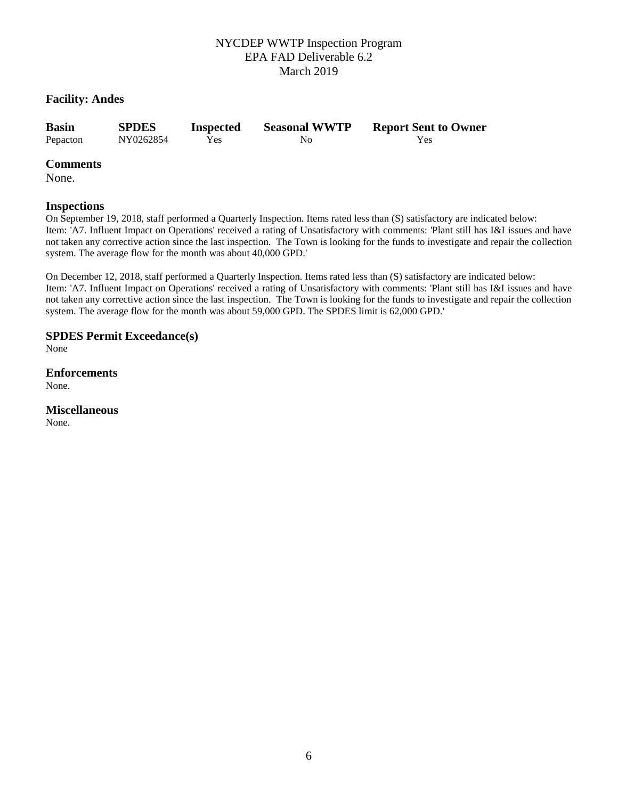### **Facility: Andes**

| <b>Basin</b> | <b>SPDES</b> | <b>Inspected</b> | <b>Seasonal WWTP</b> | <b>Report Sent to Owner</b> |
|--------------|--------------|------------------|----------------------|-----------------------------|
| Pepacton     | NY0262854    | Yes              | No                   | Yes                         |

#### **Comments**

None.

#### **Inspections**

On September 19, 2018, staff performed a Quarterly Inspection. Items rated less than (S) satisfactory are indicated below: Item: 'A7. Influent Impact on Operations' received a rating of Unsatisfactory with comments: 'Plant still has I&I issues and have not taken any corrective action since the last inspection. The Town is looking for the funds to investigate and repair the collection system. The average flow for the month was about 40,000 GPD.'

On December 12, 2018, staff performed a Quarterly Inspection. Items rated less than (S) satisfactory are indicated below: Item: 'A7. Influent Impact on Operations' received a rating of Unsatisfactory with comments: 'Plant still has I&I issues and have not taken any corrective action since the last inspection. The Town is looking for the funds to investigate and repair the collection system. The average flow for the month was about 59,000 GPD. The SPDES limit is 62,000 GPD.'

#### **SPDES Permit Exceedance(s)**

None

**Enforcements** None.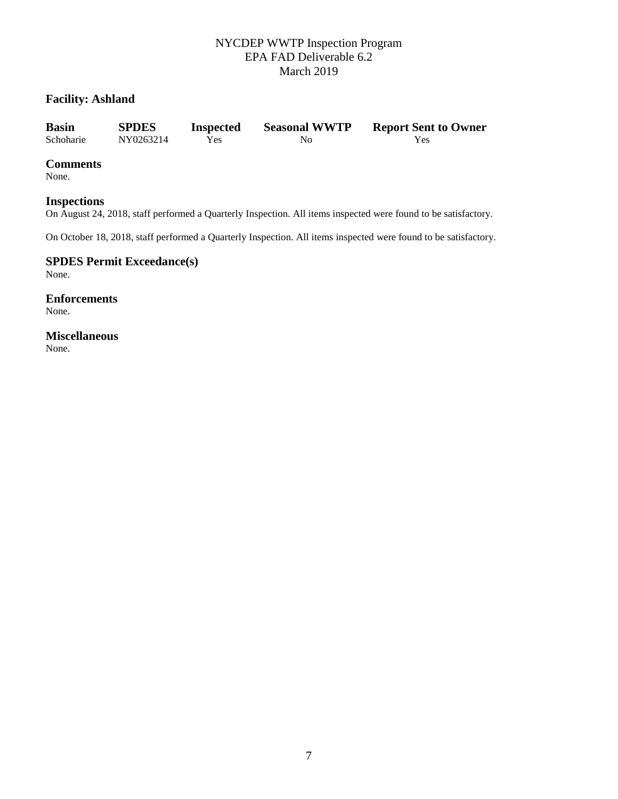### **Facility: Ashland**

| <b>Basin</b> | <b>SPDES</b> | <b>Inspected</b> | <b>Seasonal WWTP</b> | <b>Report Sent to Owner</b> |
|--------------|--------------|------------------|----------------------|-----------------------------|
| Schoharie    | NY0263214    | Yes              | No                   | Yes                         |

#### **Comments**

None.

### **Inspections**

On August 24, 2018, staff performed a Quarterly Inspection. All items inspected were found to be satisfactory.

On October 18, 2018, staff performed a Quarterly Inspection. All items inspected were found to be satisfactory.

**SPDES Permit Exceedance(s)** None.

**Enforcements** None.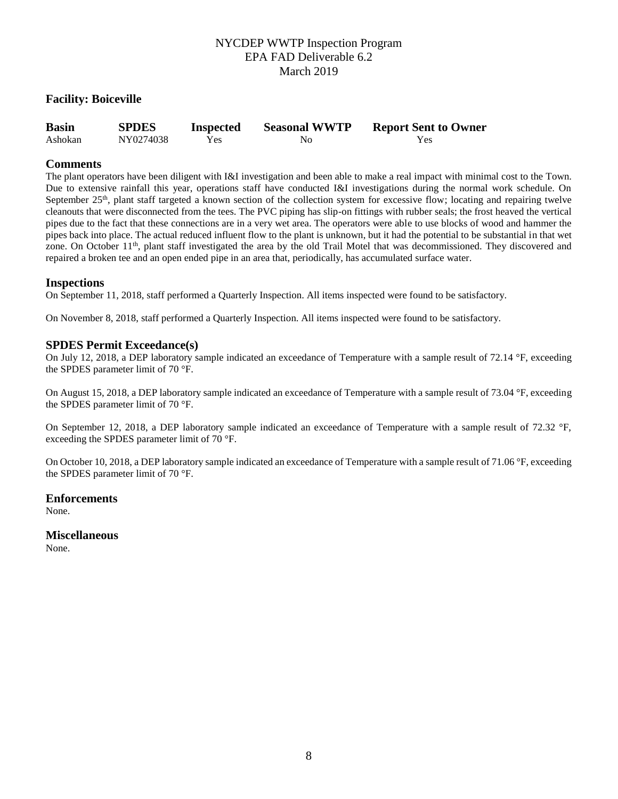### **Facility: Boiceville**

| <b>Basin</b> | <b>SPDES</b> | <b>Inspected</b> | <b>Seasonal WWTP</b> | <b>Report Sent to Owner</b> |
|--------------|--------------|------------------|----------------------|-----------------------------|
| Ashokan      | NY0274038    | Yes              | No.                  | Yes                         |

#### **Comments**

The plant operators have been diligent with I&I investigation and been able to make a real impact with minimal cost to the Town. Due to extensive rainfall this year, operations staff have conducted I&I investigations during the normal work schedule. On September  $25<sup>th</sup>$ , plant staff targeted a known section of the collection system for excessive flow; locating and repairing twelve cleanouts that were disconnected from the tees. The PVC piping has slip-on fittings with rubber seals; the frost heaved the vertical pipes due to the fact that these connections are in a very wet area. The operators were able to use blocks of wood and hammer the pipes back into place. The actual reduced influent flow to the plant is unknown, but it had the potential to be substantial in that wet zone. On October 11<sup>th</sup>, plant staff investigated the area by the old Trail Motel that was decommissioned. They discovered and repaired a broken tee and an open ended pipe in an area that, periodically, has accumulated surface water.

#### **Inspections**

On September 11, 2018, staff performed a Quarterly Inspection. All items inspected were found to be satisfactory.

On November 8, 2018, staff performed a Quarterly Inspection. All items inspected were found to be satisfactory.

#### **SPDES Permit Exceedance(s)**

On July 12, 2018, a DEP laboratory sample indicated an exceedance of Temperature with a sample result of 72.14 °F, exceeding the SPDES parameter limit of 70 °F.

On August 15, 2018, a DEP laboratory sample indicated an exceedance of Temperature with a sample result of 73.04 °F, exceeding the SPDES parameter limit of 70 °F.

On September 12, 2018, a DEP laboratory sample indicated an exceedance of Temperature with a sample result of 72.32 °F, exceeding the SPDES parameter limit of 70 °F.

On October 10, 2018, a DEP laboratory sample indicated an exceedance of Temperature with a sample result of 71.06 °F, exceeding the SPDES parameter limit of 70 °F.

#### **Enforcements**

None.

#### **Miscellaneous**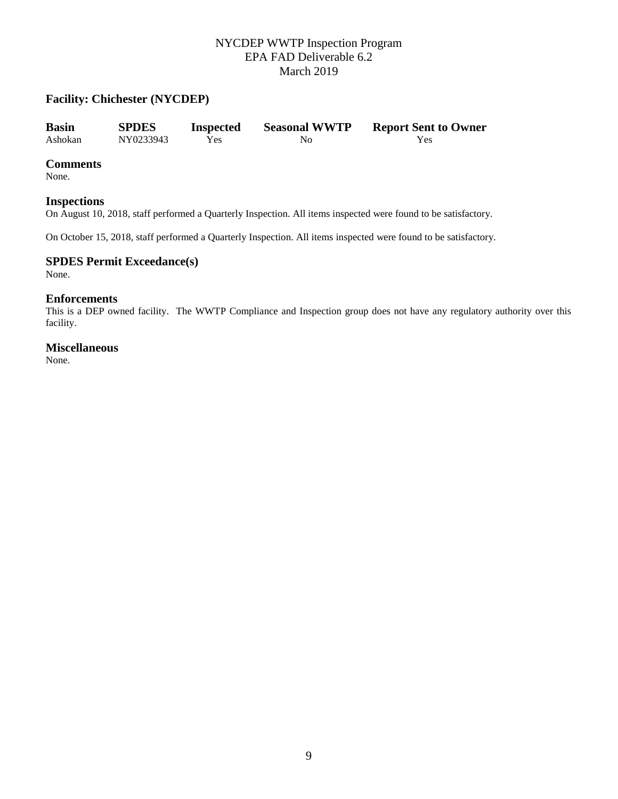### **Facility: Chichester (NYCDEP)**

| <b>Basin</b> | <b>SPDES</b> | <b>Inspected</b> | <b>Seasonal WWTP</b> | <b>Report Sent to Owner</b> |
|--------------|--------------|------------------|----------------------|-----------------------------|
| Ashokan      | NY0233943    | Yes              | No.                  | Yes                         |

#### **Comments**

None.

#### **Inspections**

On August 10, 2018, staff performed a Quarterly Inspection. All items inspected were found to be satisfactory.

On October 15, 2018, staff performed a Quarterly Inspection. All items inspected were found to be satisfactory.

### **SPDES Permit Exceedance(s)**

None.

#### **Enforcements**

This is a DEP owned facility. The WWTP Compliance and Inspection group does not have any regulatory authority over this facility.

### **Miscellaneous**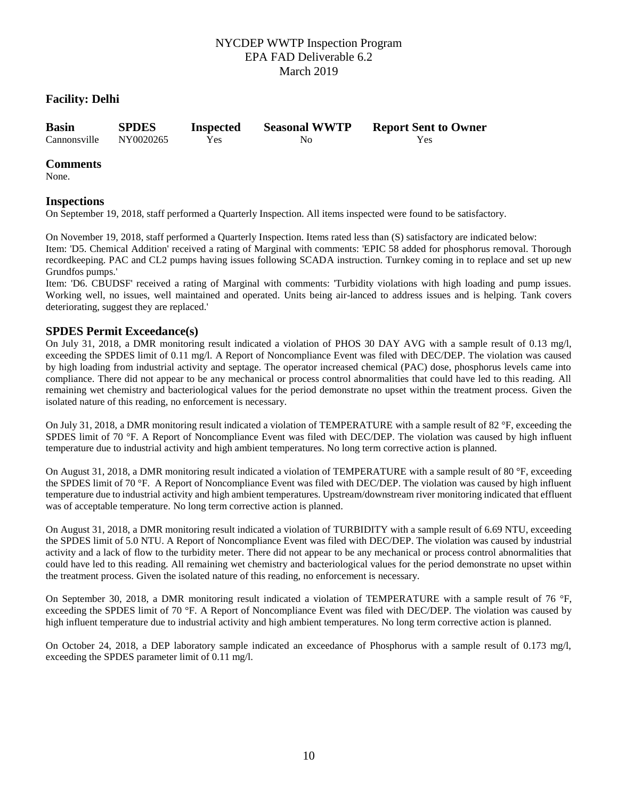### **Facility: Delhi**

| <b>Basin</b> | <b>SPDES</b> | <b>Inspected</b> | <b>Seasonal WWTP</b> | <b>Report Sent to Owner</b> |
|--------------|--------------|------------------|----------------------|-----------------------------|
| Cannonsville | NY0020265    | Yes              | No                   | Yes                         |

#### **Comments**

None.

#### **Inspections**

On September 19, 2018, staff performed a Quarterly Inspection. All items inspected were found to be satisfactory.

On November 19, 2018, staff performed a Quarterly Inspection. Items rated less than (S) satisfactory are indicated below: Item: 'D5. Chemical Addition' received a rating of Marginal with comments: 'EPIC 58 added for phosphorus removal. Thorough recordkeeping. PAC and CL2 pumps having issues following SCADA instruction. Turnkey coming in to replace and set up new Grundfos pumps.'

Item: 'D6. CBUDSF' received a rating of Marginal with comments: 'Turbidity violations with high loading and pump issues. Working well, no issues, well maintained and operated. Units being air-lanced to address issues and is helping. Tank covers deteriorating, suggest they are replaced.'

#### **SPDES Permit Exceedance(s)**

On July 31, 2018, a DMR monitoring result indicated a violation of PHOS 30 DAY AVG with a sample result of 0.13 mg/l, exceeding the SPDES limit of 0.11 mg/l. A Report of Noncompliance Event was filed with DEC/DEP. The violation was caused by high loading from industrial activity and septage. The operator increased chemical (PAC) dose, phosphorus levels came into compliance. There did not appear to be any mechanical or process control abnormalities that could have led to this reading. All remaining wet chemistry and bacteriological values for the period demonstrate no upset within the treatment process. Given the isolated nature of this reading, no enforcement is necessary.

On July 31, 2018, a DMR monitoring result indicated a violation of TEMPERATURE with a sample result of 82 °F, exceeding the SPDES limit of 70 °F. A Report of Noncompliance Event was filed with DEC/DEP. The violation was caused by high influent temperature due to industrial activity and high ambient temperatures. No long term corrective action is planned.

On August 31, 2018, a DMR monitoring result indicated a violation of TEMPERATURE with a sample result of 80  $\degree$ F, exceeding the SPDES limit of 70 °F. A Report of Noncompliance Event was filed with DEC/DEP. The violation was caused by high influent temperature due to industrial activity and high ambient temperatures. Upstream/downstream river monitoring indicated that effluent was of acceptable temperature. No long term corrective action is planned.

On August 31, 2018, a DMR monitoring result indicated a violation of TURBIDITY with a sample result of 6.69 NTU, exceeding the SPDES limit of 5.0 NTU. A Report of Noncompliance Event was filed with DEC/DEP. The violation was caused by industrial activity and a lack of flow to the turbidity meter. There did not appear to be any mechanical or process control abnormalities that could have led to this reading. All remaining wet chemistry and bacteriological values for the period demonstrate no upset within the treatment process. Given the isolated nature of this reading, no enforcement is necessary.

On September 30, 2018, a DMR monitoring result indicated a violation of TEMPERATURE with a sample result of 76 °F, exceeding the SPDES limit of 70 °F. A Report of Noncompliance Event was filed with DEC/DEP. The violation was caused by high influent temperature due to industrial activity and high ambient temperatures. No long term corrective action is planned.

On October 24, 2018, a DEP laboratory sample indicated an exceedance of Phosphorus with a sample result of 0.173 mg/l, exceeding the SPDES parameter limit of 0.11 mg/l.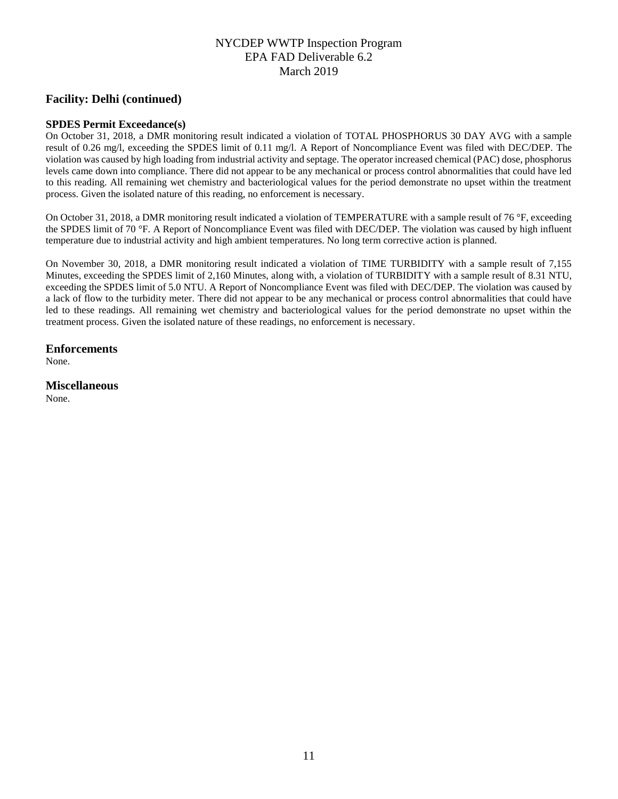### **Facility: Delhi (continued)**

#### **SPDES Permit Exceedance(s)**

On October 31, 2018, a DMR monitoring result indicated a violation of TOTAL PHOSPHORUS 30 DAY AVG with a sample result of 0.26 mg/l, exceeding the SPDES limit of 0.11 mg/l. A Report of Noncompliance Event was filed with DEC/DEP. The violation was caused by high loading from industrial activity and septage. The operator increased chemical (PAC) dose, phosphorus levels came down into compliance. There did not appear to be any mechanical or process control abnormalities that could have led to this reading. All remaining wet chemistry and bacteriological values for the period demonstrate no upset within the treatment process. Given the isolated nature of this reading, no enforcement is necessary.

On October 31, 2018, a DMR monitoring result indicated a violation of TEMPERATURE with a sample result of 76 °F, exceeding the SPDES limit of 70 °F. A Report of Noncompliance Event was filed with DEC/DEP. The violation was caused by high influent temperature due to industrial activity and high ambient temperatures. No long term corrective action is planned.

On November 30, 2018, a DMR monitoring result indicated a violation of TIME TURBIDITY with a sample result of 7,155 Minutes, exceeding the SPDES limit of 2,160 Minutes, along with, a violation of TURBIDITY with a sample result of 8.31 NTU, exceeding the SPDES limit of 5.0 NTU. A Report of Noncompliance Event was filed with DEC/DEP. The violation was caused by a lack of flow to the turbidity meter. There did not appear to be any mechanical or process control abnormalities that could have led to these readings. All remaining wet chemistry and bacteriological values for the period demonstrate no upset within the treatment process. Given the isolated nature of these readings, no enforcement is necessary.

**Enforcements**

None.

### **Miscellaneous**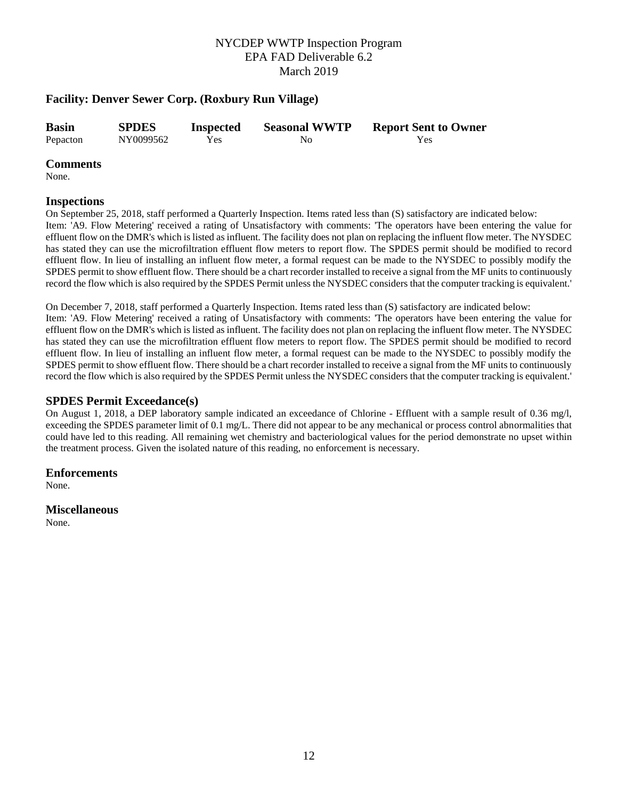### **Facility: Denver Sewer Corp. (Roxbury Run Village)**

| <b>Basin</b> | <b>SPDES</b> | <b>Inspected</b> | <b>Seasonal WWTP</b> | <b>Report Sent to Owner</b> |
|--------------|--------------|------------------|----------------------|-----------------------------|
| Pepacton     | NY0099562    | Yes.             | No.                  | Yes                         |

#### **Comments**

None.

#### **Inspections**

On September 25, 2018, staff performed a Quarterly Inspection. Items rated less than (S) satisfactory are indicated below: Item: 'A9. Flow Metering' received a rating of Unsatisfactory with comments: 'The operators have been entering the value for effluent flow on the DMR's which is listed as influent. The facility does not plan on replacing the influent flow meter. The NYSDEC has stated they can use the microfiltration effluent flow meters to report flow. The SPDES permit should be modified to record effluent flow. In lieu of installing an influent flow meter, a formal request can be made to the NYSDEC to possibly modify the SPDES permit to show effluent flow. There should be a chart recorder installed to receive a signal from the MF units to continuously record the flow which is also required by the SPDES Permit unless the NYSDEC considers that the computer tracking is equivalent.'

On December 7, 2018, staff performed a Quarterly Inspection. Items rated less than (S) satisfactory are indicated below: Item: 'A9. Flow Metering' received a rating of Unsatisfactory with comments: 'The operators have been entering the value for effluent flow on the DMR's which is listed as influent. The facility does not plan on replacing the influent flow meter. The NYSDEC has stated they can use the microfiltration effluent flow meters to report flow. The SPDES permit should be modified to record effluent flow. In lieu of installing an influent flow meter, a formal request can be made to the NYSDEC to possibly modify the SPDES permit to show effluent flow. There should be a chart recorder installed to receive a signal from the MF units to continuously record the flow which is also required by the SPDES Permit unless the NYSDEC considers that the computer tracking is equivalent.'

#### **SPDES Permit Exceedance(s)**

On August 1, 2018, a DEP laboratory sample indicated an exceedance of Chlorine - Effluent with a sample result of 0.36 mg/l, exceeding the SPDES parameter limit of 0.1 mg/L. There did not appear to be any mechanical or process control abnormalities that could have led to this reading. All remaining wet chemistry and bacteriological values for the period demonstrate no upset within the treatment process. Given the isolated nature of this reading, no enforcement is necessary.

#### **Enforcements**

None.

#### **Miscellaneous**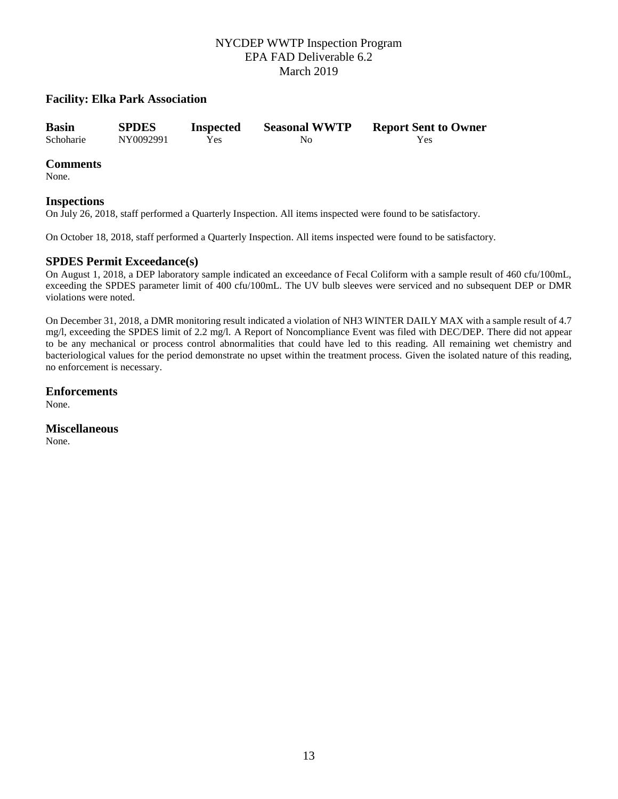### **Facility: Elka Park Association**

| <b>Basin</b> | <b>SPDES</b> | <b>Inspected</b> | <b>Seasonal WWTP</b> | <b>Report Sent to Owner</b> |
|--------------|--------------|------------------|----------------------|-----------------------------|
| Schoharie    | NY0092991    | Yes              | No                   | Yes                         |

#### **Comments**

None.

#### **Inspections**

On July 26, 2018, staff performed a Quarterly Inspection. All items inspected were found to be satisfactory.

On October 18, 2018, staff performed a Quarterly Inspection. All items inspected were found to be satisfactory.

### **SPDES Permit Exceedance(s)**

On August 1, 2018, a DEP laboratory sample indicated an exceedance of Fecal Coliform with a sample result of 460 cfu/100mL, exceeding the SPDES parameter limit of 400 cfu/100mL. The UV bulb sleeves were serviced and no subsequent DEP or DMR violations were noted.

On December 31, 2018, a DMR monitoring result indicated a violation of NH3 WINTER DAILY MAX with a sample result of 4.7 mg/l, exceeding the SPDES limit of 2.2 mg/l. A Report of Noncompliance Event was filed with DEC/DEP. There did not appear to be any mechanical or process control abnormalities that could have led to this reading. All remaining wet chemistry and bacteriological values for the period demonstrate no upset within the treatment process. Given the isolated nature of this reading, no enforcement is necessary.

### **Enforcements**

None.

#### **Miscellaneous**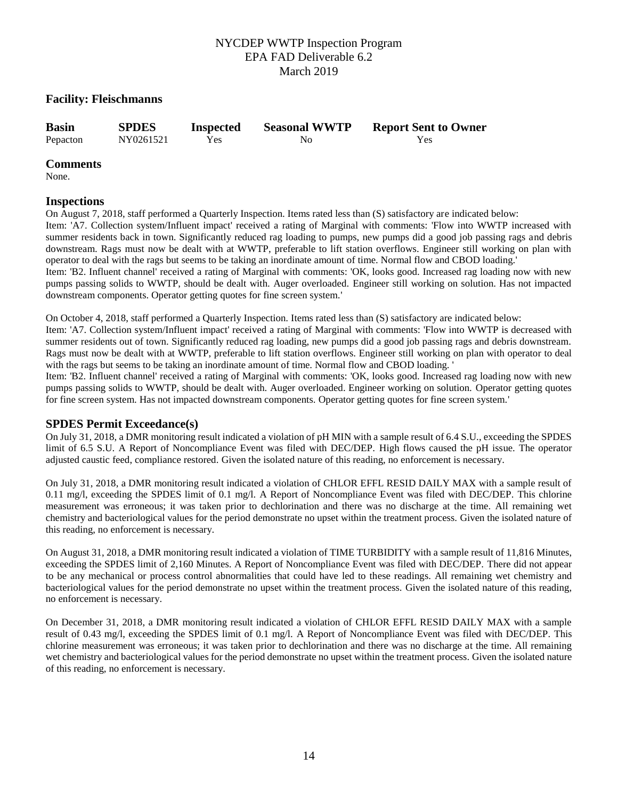### **Facility: Fleischmanns**

| <b>Basin</b> | <b>SPDES</b> | <b>Inspected</b> | <b>Seasonal WWTP</b> | <b>Report Sent to Owner</b> |
|--------------|--------------|------------------|----------------------|-----------------------------|
| Pepacton     | NY0261521    | Yes              | No                   | Yes                         |

#### **Comments**

None.

#### **Inspections**

On August 7, 2018, staff performed a Quarterly Inspection. Items rated less than (S) satisfactory are indicated below: Item: 'A7. Collection system/Influent impact' received a rating of Marginal with comments: 'Flow into WWTP increased with

summer residents back in town. Significantly reduced rag loading to pumps, new pumps did a good job passing rags and debris downstream. Rags must now be dealt with at WWTP, preferable to lift station overflows. Engineer still working on plan with operator to deal with the rags but seems to be taking an inordinate amount of time. Normal flow and CBOD loading.' Item: 'B2. Influent channel' received a rating of Marginal with comments: 'OK, looks good. Increased rag loading now with new

pumps passing solids to WWTP, should be dealt with. Auger overloaded. Engineer still working on solution. Has not impacted downstream components. Operator getting quotes for fine screen system.'

On October 4, 2018, staff performed a Quarterly Inspection. Items rated less than (S) satisfactory are indicated below: Item: 'A7. Collection system/Influent impact' received a rating of Marginal with comments: 'Flow into WWTP is decreased with summer residents out of town. Significantly reduced rag loading, new pumps did a good job passing rags and debris downstream. Rags must now be dealt with at WWTP, preferable to lift station overflows. Engineer still working on plan with operator to deal with the rags but seems to be taking an inordinate amount of time. Normal flow and CBOD loading. '

Item: 'B2. Influent channel' received a rating of Marginal with comments: 'OK, looks good. Increased rag loading now with new pumps passing solids to WWTP, should be dealt with. Auger overloaded. Engineer working on solution. Operator getting quotes for fine screen system. Has not impacted downstream components. Operator getting quotes for fine screen system.'

### **SPDES Permit Exceedance(s)**

On July 31, 2018, a DMR monitoring result indicated a violation of pH MIN with a sample result of 6.4 S.U., exceeding the SPDES limit of 6.5 S.U. A Report of Noncompliance Event was filed with DEC/DEP. High flows caused the pH issue. The operator adjusted caustic feed, compliance restored. Given the isolated nature of this reading, no enforcement is necessary.

On July 31, 2018, a DMR monitoring result indicated a violation of CHLOR EFFL RESID DAILY MAX with a sample result of 0.11 mg/l, exceeding the SPDES limit of 0.1 mg/l. A Report of Noncompliance Event was filed with DEC/DEP. This chlorine measurement was erroneous; it was taken prior to dechlorination and there was no discharge at the time. All remaining wet chemistry and bacteriological values for the period demonstrate no upset within the treatment process. Given the isolated nature of this reading, no enforcement is necessary.

On August 31, 2018, a DMR monitoring result indicated a violation of TIME TURBIDITY with a sample result of 11,816 Minutes, exceeding the SPDES limit of 2,160 Minutes. A Report of Noncompliance Event was filed with DEC/DEP. There did not appear to be any mechanical or process control abnormalities that could have led to these readings. All remaining wet chemistry and bacteriological values for the period demonstrate no upset within the treatment process. Given the isolated nature of this reading, no enforcement is necessary.

On December 31, 2018, a DMR monitoring result indicated a violation of CHLOR EFFL RESID DAILY MAX with a sample result of 0.43 mg/l, exceeding the SPDES limit of 0.1 mg/l. A Report of Noncompliance Event was filed with DEC/DEP. This chlorine measurement was erroneous; it was taken prior to dechlorination and there was no discharge at the time. All remaining wet chemistry and bacteriological values for the period demonstrate no upset within the treatment process. Given the isolated nature of this reading, no enforcement is necessary.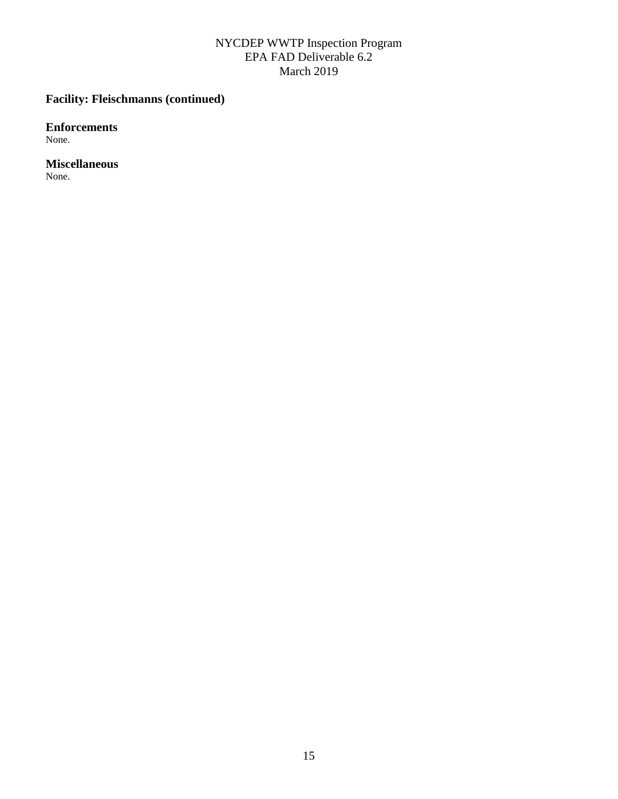## **Facility: Fleischmanns (continued)**

# **Enforcements**

None.

# **Miscellaneous**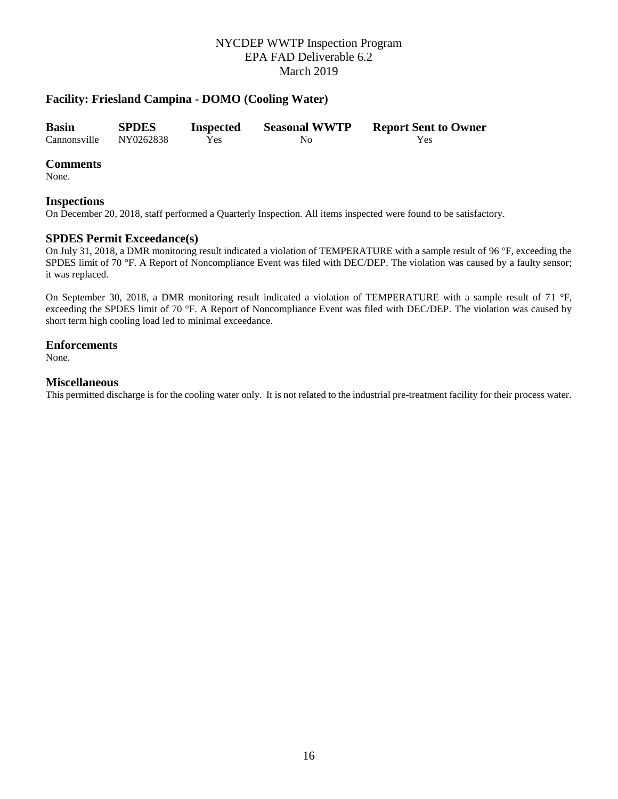### **Facility: Friesland Campina - DOMO (Cooling Water)**

| <b>Basin</b> | <b>SPDES</b> | <b>Inspected</b> | <b>Seasonal WWTP</b> | <b>Report Sent to Owner</b> |
|--------------|--------------|------------------|----------------------|-----------------------------|
| Cannonsville | NY0262838    | Yes              | No                   | Yes                         |

#### **Comments**

None.

#### **Inspections**

On December 20, 2018, staff performed a Quarterly Inspection. All items inspected were found to be satisfactory.

#### **SPDES Permit Exceedance(s)**

On July 31, 2018, a DMR monitoring result indicated a violation of TEMPERATURE with a sample result of 96 °F, exceeding the SPDES limit of 70 °F. A Report of Noncompliance Event was filed with DEC/DEP. The violation was caused by a faulty sensor; it was replaced.

On September 30, 2018, a DMR monitoring result indicated a violation of TEMPERATURE with a sample result of 71 °F, exceeding the SPDES limit of 70 °F. A Report of Noncompliance Event was filed with DEC/DEP. The violation was caused by short term high cooling load led to minimal exceedance.

#### **Enforcements**

None.

#### **Miscellaneous**

This permitted discharge is for the cooling water only. It is not related to the industrial pre-treatment facility for their process water.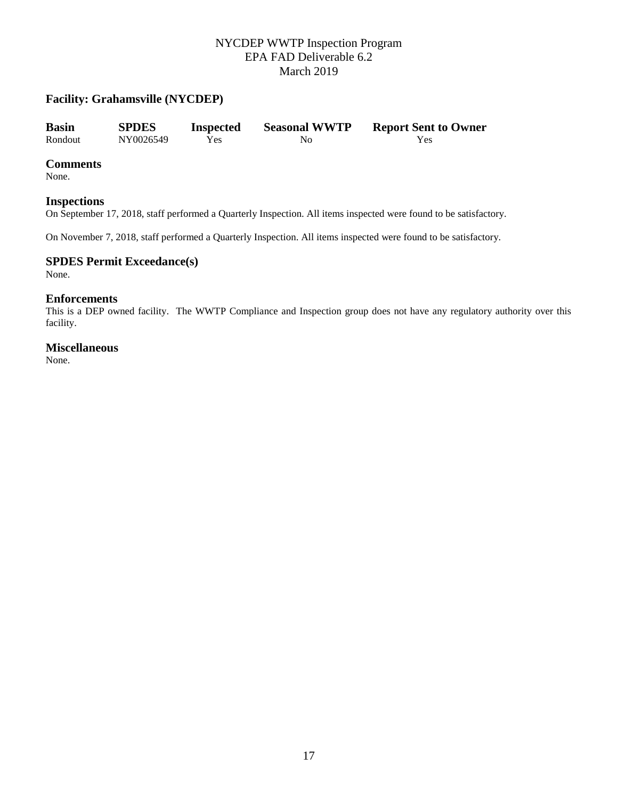### **Facility: Grahamsville (NYCDEP)**

| <b>Basin</b> | <b>SPDES</b> | <b>Inspected</b> | <b>Seasonal WWTP</b> | <b>Report Sent to Owner</b> |
|--------------|--------------|------------------|----------------------|-----------------------------|
| Rondout      | NY0026549    | Yes              | No.                  | Yes                         |

#### **Comments**

None.

#### **Inspections**

On September 17, 2018, staff performed a Quarterly Inspection. All items inspected were found to be satisfactory.

On November 7, 2018, staff performed a Quarterly Inspection. All items inspected were found to be satisfactory.

### **SPDES Permit Exceedance(s)**

None.

#### **Enforcements**

This is a DEP owned facility. The WWTP Compliance and Inspection group does not have any regulatory authority over this facility.

### **Miscellaneous**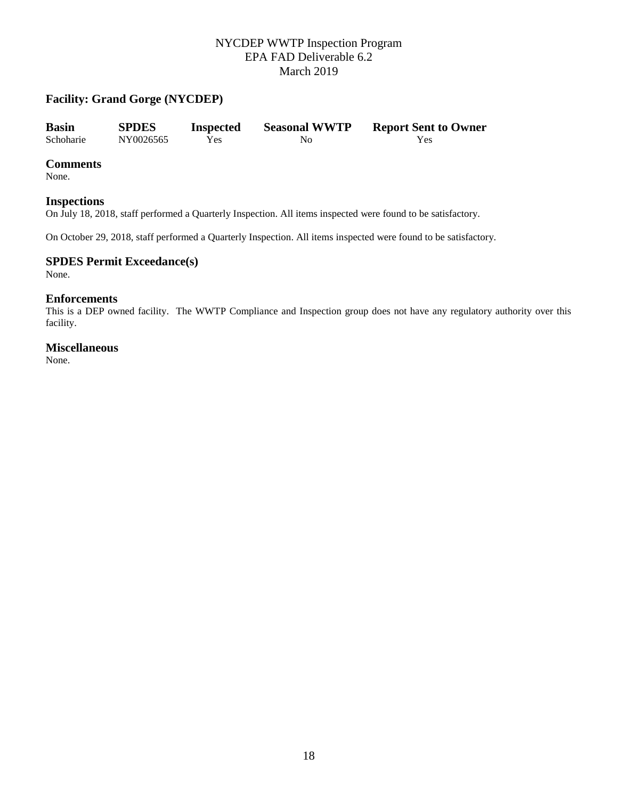### **Facility: Grand Gorge (NYCDEP)**

| <b>Basin</b> | <b>SPDES</b> | <b>Inspected</b> | <b>Seasonal WWTP</b> | <b>Report Sent to Owner</b> |
|--------------|--------------|------------------|----------------------|-----------------------------|
| Schoharie    | NY0026565    | Yes              | No                   | Yes                         |

#### **Comments**

None.

#### **Inspections**

On July 18, 2018, staff performed a Quarterly Inspection. All items inspected were found to be satisfactory.

On October 29, 2018, staff performed a Quarterly Inspection. All items inspected were found to be satisfactory.

### **SPDES Permit Exceedance(s)**

None.

#### **Enforcements**

This is a DEP owned facility. The WWTP Compliance and Inspection group does not have any regulatory authority over this facility.

### **Miscellaneous**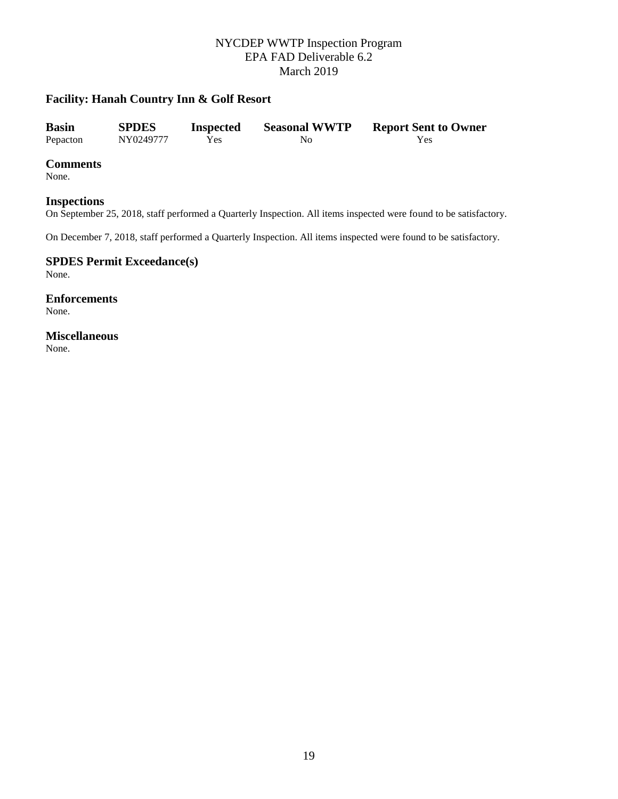### **Facility: Hanah Country Inn & Golf Resort**

| <b>Basin</b> | <b>SPDES</b> | <b>Inspected</b> | <b>Seasonal WWTP</b> | <b>Report Sent to Owner</b> |
|--------------|--------------|------------------|----------------------|-----------------------------|
| Pepacton     | NY0249777    | Yes              | No.                  | Yes                         |

#### **Comments**

None.

#### **Inspections**

On September 25, 2018, staff performed a Quarterly Inspection. All items inspected were found to be satisfactory.

On December 7, 2018, staff performed a Quarterly Inspection. All items inspected were found to be satisfactory.

#### **SPDES Permit Exceedance(s)** None.

**Enforcements**

None.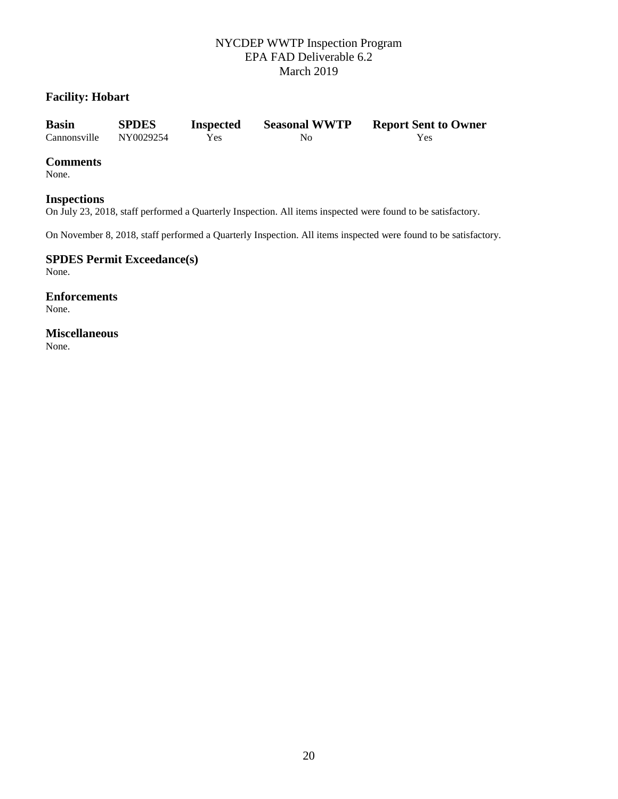### **Facility: Hobart**

| <b>Basin</b> | <b>SPDES</b> | <b>Inspected</b> | <b>Seasonal WWTP</b> | <b>Report Sent to Owner</b> |
|--------------|--------------|------------------|----------------------|-----------------------------|
| Cannonsville | NY0029254    | Yes              | No                   | Yes                         |

### **Comments**

None.

### **Inspections**

On July 23, 2018, staff performed a Quarterly Inspection. All items inspected were found to be satisfactory.

On November 8, 2018, staff performed a Quarterly Inspection. All items inspected were found to be satisfactory.

**SPDES Permit Exceedance(s)** None.

**Enforcements** None.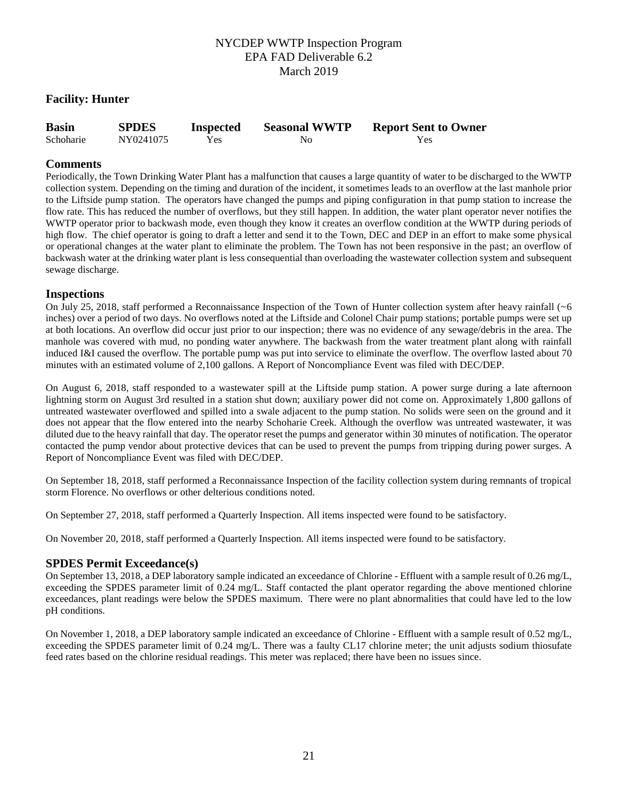### **Facility: Hunter**

| <b>Basin</b> | <b>SPDES</b> | <b>Inspected</b> | <b>Seasonal WWTP</b> | <b>Report Sent to Owner</b> |
|--------------|--------------|------------------|----------------------|-----------------------------|
| Schoharie    | NY0241075    | Yes              | No                   | Yes                         |

#### **Comments**

Periodically, the Town Drinking Water Plant has a malfunction that causes a large quantity of water to be discharged to the WWTP collection system. Depending on the timing and duration of the incident, it sometimes leads to an overflow at the last manhole prior to the Liftside pump station. The operators have changed the pumps and piping configuration in that pump station to increase the flow rate. This has reduced the number of overflows, but they still happen. In addition, the water plant operator never notifies the WWTP operator prior to backwash mode, even though they know it creates an overflow condition at the WWTP during periods of high flow. The chief operator is going to draft a letter and send it to the Town, DEC and DEP in an effort to make some physical or operational changes at the water plant to eliminate the problem. The Town has not been responsive in the past; an overflow of backwash water at the drinking water plant is less consequential than overloading the wastewater collection system and subsequent sewage discharge.

#### **Inspections**

On July 25, 2018, staff performed a Reconnaissance Inspection of the Town of Hunter collection system after heavy rainfall  $(\sim 6$ inches) over a period of two days. No overflows noted at the Liftside and Colonel Chair pump stations; portable pumps were set up at both locations. An overflow did occur just prior to our inspection; there was no evidence of any sewage/debris in the area. The manhole was covered with mud, no ponding water anywhere. The backwash from the water treatment plant along with rainfall induced I&I caused the overflow. The portable pump was put into service to eliminate the overflow. The overflow lasted about 70 minutes with an estimated volume of 2,100 gallons. A Report of Noncompliance Event was filed with DEC/DEP.

On August 6, 2018, staff responded to a wastewater spill at the Liftside pump station. A power surge during a late afternoon lightning storm on August 3rd resulted in a station shut down; auxiliary power did not come on. Approximately 1,800 gallons of untreated wastewater overflowed and spilled into a swale adjacent to the pump station. No solids were seen on the ground and it does not appear that the flow entered into the nearby Schoharie Creek. Although the overflow was untreated wastewater, it was diluted due to the heavy rainfall that day. The operator reset the pumps and generator within 30 minutes of notification. The operator contacted the pump vendor about protective devices that can be used to prevent the pumps from tripping during power surges. A Report of Noncompliance Event was filed with DEC/DEP.

On September 18, 2018, staff performed a Reconnaissance Inspection of the facility collection system during remnants of tropical storm Florence. No overflows or other delterious conditions noted.

On September 27, 2018, staff performed a Quarterly Inspection. All items inspected were found to be satisfactory.

On November 20, 2018, staff performed a Quarterly Inspection. All items inspected were found to be satisfactory.

#### **SPDES Permit Exceedance(s)**

On September 13, 2018, a DEP laboratory sample indicated an exceedance of Chlorine - Effluent with a sample result of 0.26 mg/L, exceeding the SPDES parameter limit of 0.24 mg/L. Staff contacted the plant operator regarding the above mentioned chlorine exceedances, plant readings were below the SPDES maximum. There were no plant abnormalities that could have led to the low pH conditions.

On November 1, 2018, a DEP laboratory sample indicated an exceedance of Chlorine - Effluent with a sample result of 0.52 mg/L, exceeding the SPDES parameter limit of 0.24 mg/L. There was a faulty CL17 chlorine meter; the unit adjusts sodium thiosufate feed rates based on the chlorine residual readings. This meter was replaced; there have been no issues since.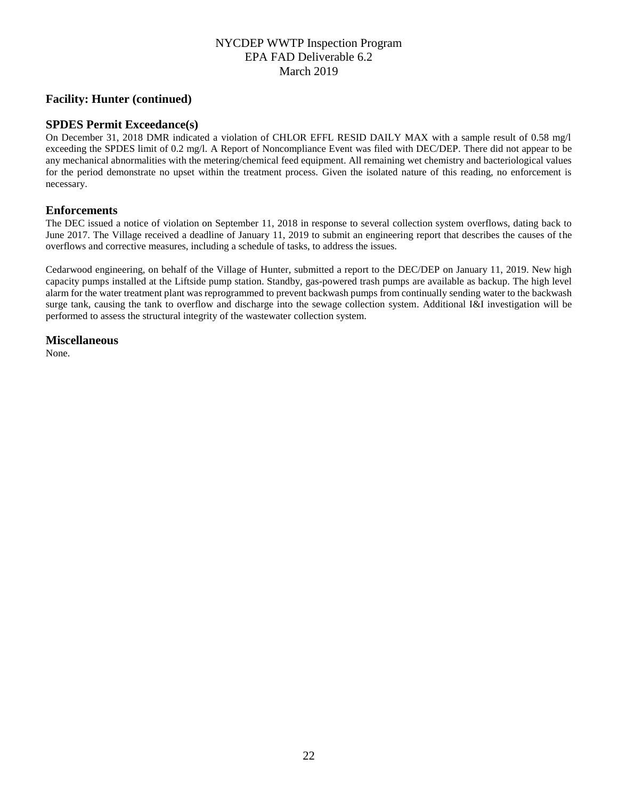### **Facility: Hunter (continued)**

#### **SPDES Permit Exceedance(s)**

On December 31, 2018 DMR indicated a violation of CHLOR EFFL RESID DAILY MAX with a sample result of 0.58 mg/l exceeding the SPDES limit of 0.2 mg/l. A Report of Noncompliance Event was filed with DEC/DEP. There did not appear to be any mechanical abnormalities with the metering/chemical feed equipment. All remaining wet chemistry and bacteriological values for the period demonstrate no upset within the treatment process. Given the isolated nature of this reading, no enforcement is necessary.

#### **Enforcements**

The DEC issued a notice of violation on September 11, 2018 in response to several collection system overflows, dating back to June 2017. The Village received a deadline of January 11, 2019 to submit an engineering report that describes the causes of the overflows and corrective measures, including a schedule of tasks, to address the issues.

Cedarwood engineering, on behalf of the Village of Hunter, submitted a report to the DEC/DEP on January 11, 2019. New high capacity pumps installed at the Liftside pump station. Standby, gas-powered trash pumps are available as backup. The high level alarm for the water treatment plant was reprogrammed to prevent backwash pumps from continually sending water to the backwash surge tank, causing the tank to overflow and discharge into the sewage collection system. Additional I&I investigation will be performed to assess the structural integrity of the wastewater collection system.

#### **Miscellaneous**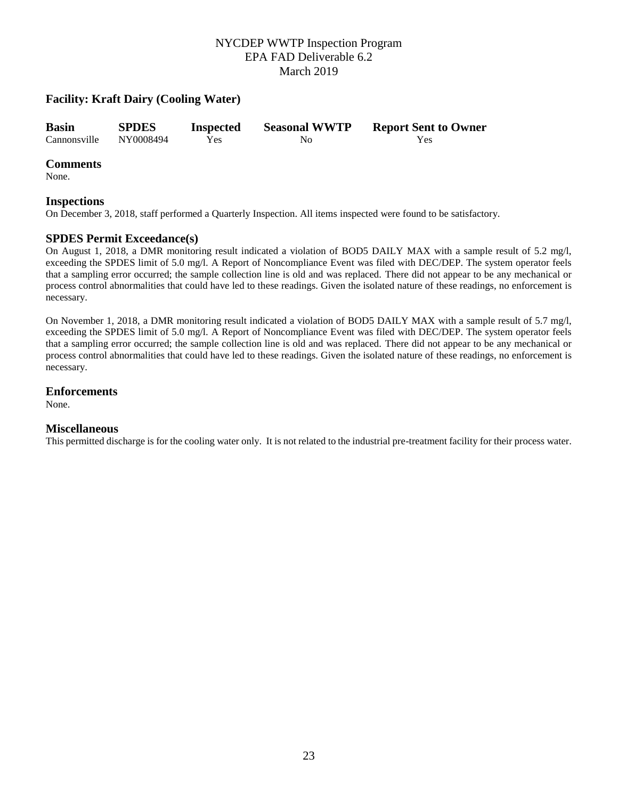### **Facility: Kraft Dairy (Cooling Water)**

| <b>Basin</b> | <b>SPDES</b> | <b>Inspected</b> | <b>Seasonal WWTP</b> | <b>Report Sent to Owner</b> |
|--------------|--------------|------------------|----------------------|-----------------------------|
| Cannonsville | NY0008494    | Yes              | No                   | Yes                         |

#### **Comments**

None.

#### **Inspections**

On December 3, 2018, staff performed a Quarterly Inspection. All items inspected were found to be satisfactory.

#### **SPDES Permit Exceedance(s)**

On August 1, 2018, a DMR monitoring result indicated a violation of BOD5 DAILY MAX with a sample result of 5.2 mg/l, exceeding the SPDES limit of 5.0 mg/l. A Report of Noncompliance Event was filed with DEC/DEP. The system operator feels that a sampling error occurred; the sample collection line is old and was replaced. There did not appear to be any mechanical or process control abnormalities that could have led to these readings. Given the isolated nature of these readings, no enforcement is necessary.

On November 1, 2018, a DMR monitoring result indicated a violation of BOD5 DAILY MAX with a sample result of 5.7 mg/l, exceeding the SPDES limit of 5.0 mg/l. A Report of Noncompliance Event was filed with DEC/DEP. The system operator feels that a sampling error occurred; the sample collection line is old and was replaced. There did not appear to be any mechanical or process control abnormalities that could have led to these readings. Given the isolated nature of these readings, no enforcement is necessary.

#### **Enforcements**

None.

#### **Miscellaneous**

This permitted discharge is for the cooling water only. It is not related to the industrial pre-treatment facility for their process water.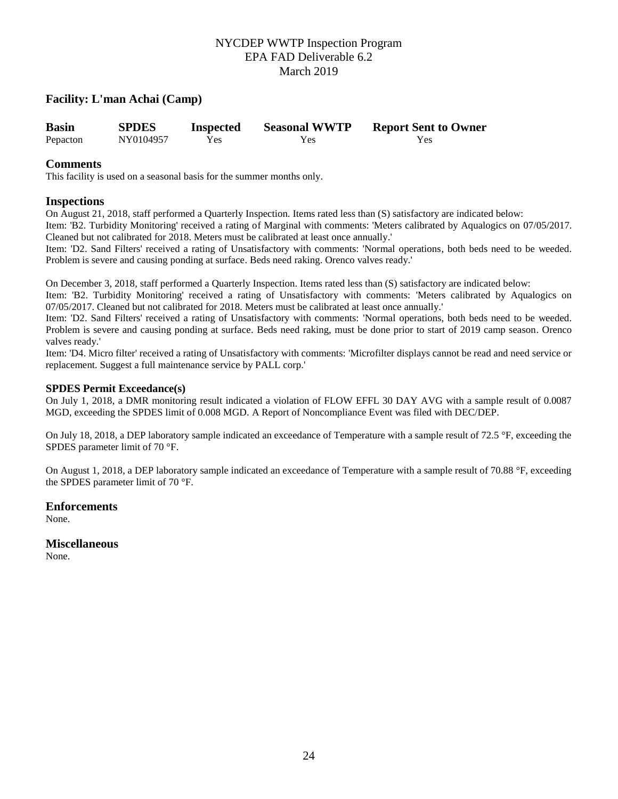### **Facility: L'man Achai (Camp)**

| <b>Basin</b> | <b>SPDES</b> | <b>Inspected</b> | <b>Seasonal WWTP</b> | <b>Report Sent to Owner</b> |
|--------------|--------------|------------------|----------------------|-----------------------------|
| Pepacton     | NY0104957    | Yes              | Yes                  | Yes.                        |

### **Comments**

This facility is used on a seasonal basis for the summer months only.

#### **Inspections**

On August 21, 2018, staff performed a Quarterly Inspection. Items rated less than (S) satisfactory are indicated below: Item: 'B2. Turbidity Monitoring' received a rating of Marginal with comments: 'Meters calibrated by Aqualogics on 07/05/2017. Cleaned but not calibrated for 2018. Meters must be calibrated at least once annually.'

Item: 'D2. Sand Filters' received a rating of Unsatisfactory with comments: 'Normal operations, both beds need to be weeded. Problem is severe and causing ponding at surface. Beds need raking. Orenco valves ready.'

On December 3, 2018, staff performed a Quarterly Inspection. Items rated less than (S) satisfactory are indicated below:

Item: 'B2. Turbidity Monitoring' received a rating of Unsatisfactory with comments: 'Meters calibrated by Aqualogics on 07/05/2017. Cleaned but not calibrated for 2018. Meters must be calibrated at least once annually.'

Item: 'D2. Sand Filters' received a rating of Unsatisfactory with comments: 'Normal operations, both beds need to be weeded. Problem is severe and causing ponding at surface. Beds need raking, must be done prior to start of 2019 camp season. Orenco valves ready.'

Item: 'D4. Micro filter' received a rating of Unsatisfactory with comments: 'Microfilter displays cannot be read and need service or replacement. Suggest a full maintenance service by PALL corp.'

#### **SPDES Permit Exceedance(s)**

On July 1, 2018, a DMR monitoring result indicated a violation of FLOW EFFL 30 DAY AVG with a sample result of 0.0087 MGD, exceeding the SPDES limit of 0.008 MGD. A Report of Noncompliance Event was filed with DEC/DEP.

On July 18, 2018, a DEP laboratory sample indicated an exceedance of Temperature with a sample result of 72.5 °F, exceeding the SPDES parameter limit of 70 °F.

On August 1, 2018, a DEP laboratory sample indicated an exceedance of Temperature with a sample result of 70.88 °F, exceeding the SPDES parameter limit of 70 °F.

#### **Enforcements**

None.

#### **Miscellaneous**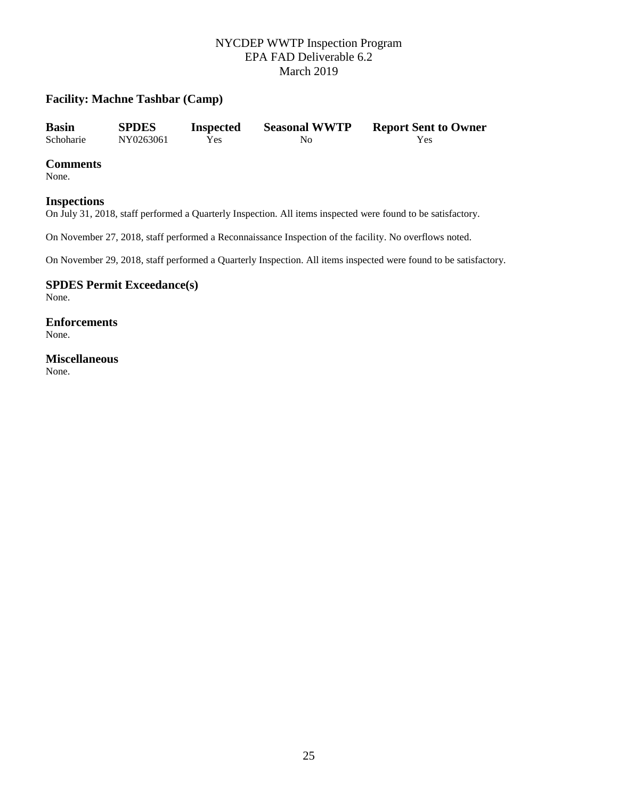### **Facility: Machne Tashbar (Camp)**

| <b>Basin</b> | <b>SPDES</b> | <b>Inspected</b> | <b>Seasonal WWTP</b> | <b>Report Sent to Owner</b> |
|--------------|--------------|------------------|----------------------|-----------------------------|
| Schoharie    | NY0263061    | Yes              | No                   | Yes                         |

#### **Comments**

None.

#### **Inspections**

On July 31, 2018, staff performed a Quarterly Inspection. All items inspected were found to be satisfactory.

On November 27, 2018, staff performed a Reconnaissance Inspection of the facility. No overflows noted.

On November 29, 2018, staff performed a Quarterly Inspection. All items inspected were found to be satisfactory.

# **SPDES Permit Exceedance(s)**

None.

#### **Enforcements** None.

# **Miscellaneous**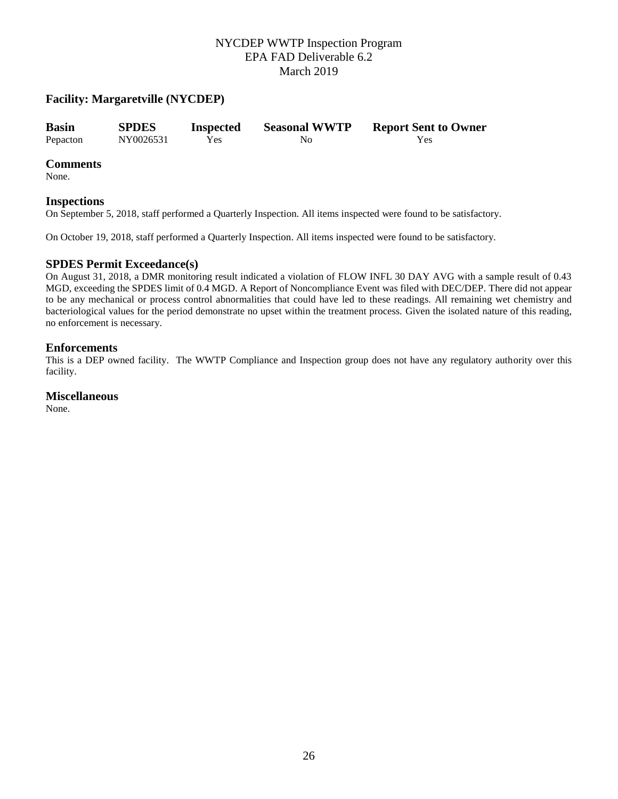### **Facility: Margaretville (NYCDEP)**

| <b>Basin</b> | <b>SPDES</b> | <b>Inspected</b> | <b>Seasonal WWTP</b> | <b>Report Sent to Owner</b> |
|--------------|--------------|------------------|----------------------|-----------------------------|
| Pepacton     | NY0026531    | Yes              | No                   | Yes                         |

#### **Comments**

None.

#### **Inspections**

On September 5, 2018, staff performed a Quarterly Inspection. All items inspected were found to be satisfactory.

On October 19, 2018, staff performed a Quarterly Inspection. All items inspected were found to be satisfactory.

### **SPDES Permit Exceedance(s)**

On August 31, 2018, a DMR monitoring result indicated a violation of FLOW INFL 30 DAY AVG with a sample result of 0.43 MGD, exceeding the SPDES limit of 0.4 MGD. A Report of Noncompliance Event was filed with DEC/DEP. There did not appear to be any mechanical or process control abnormalities that could have led to these readings. All remaining wet chemistry and bacteriological values for the period demonstrate no upset within the treatment process. Given the isolated nature of this reading, no enforcement is necessary.

#### **Enforcements**

This is a DEP owned facility. The WWTP Compliance and Inspection group does not have any regulatory authority over this facility.

#### **Miscellaneous**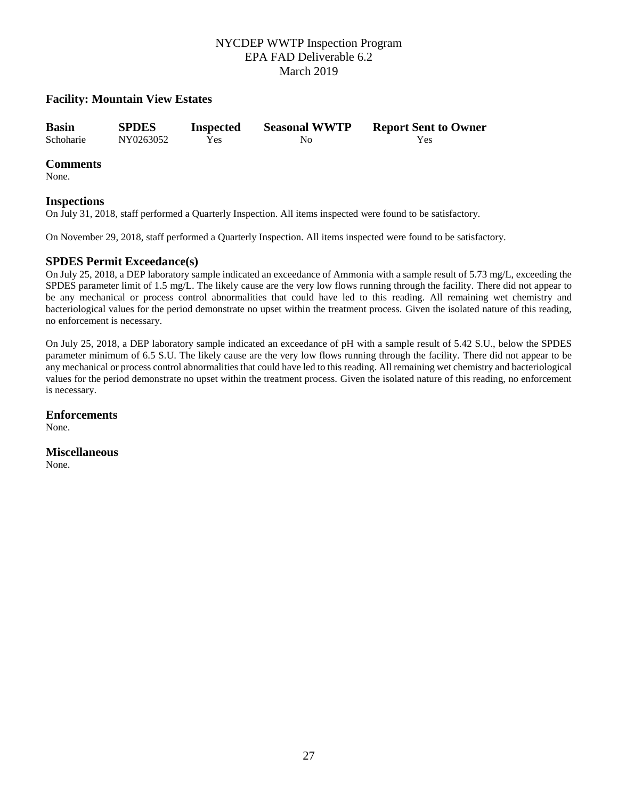### **Facility: Mountain View Estates**

| <b>Basin</b> | <b>SPDES</b> | <b>Inspected</b> | <b>Seasonal WWTP</b> | <b>Report Sent to Owner</b> |
|--------------|--------------|------------------|----------------------|-----------------------------|
| Schoharie    | NY0263052    | Yes              | No                   | Yes                         |

#### **Comments**

None.

#### **Inspections**

On July 31, 2018, staff performed a Quarterly Inspection. All items inspected were found to be satisfactory.

On November 29, 2018, staff performed a Quarterly Inspection. All items inspected were found to be satisfactory.

### **SPDES Permit Exceedance(s)**

On July 25, 2018, a DEP laboratory sample indicated an exceedance of Ammonia with a sample result of 5.73 mg/L, exceeding the SPDES parameter limit of 1.5 mg/L. The likely cause are the very low flows running through the facility. There did not appear to be any mechanical or process control abnormalities that could have led to this reading. All remaining wet chemistry and bacteriological values for the period demonstrate no upset within the treatment process. Given the isolated nature of this reading, no enforcement is necessary.

On July 25, 2018, a DEP laboratory sample indicated an exceedance of pH with a sample result of 5.42 S.U., below the SPDES parameter minimum of 6.5 S.U. The likely cause are the very low flows running through the facility. There did not appear to be any mechanical or process control abnormalities that could have led to this reading. All remaining wet chemistry and bacteriological values for the period demonstrate no upset within the treatment process. Given the isolated nature of this reading, no enforcement is necessary.

**Enforcements**

None.

**Miscellaneous**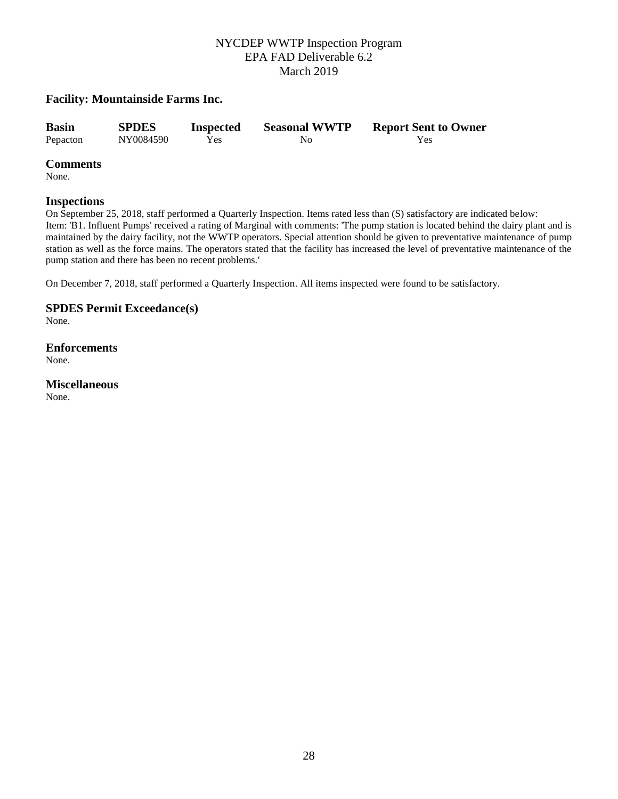### **Facility: Mountainside Farms Inc.**

| <b>Basin</b> | <b>SPDES</b> | <b>Inspected</b> | <b>Seasonal WWTP</b> | <b>Report Sent to Owner</b> |
|--------------|--------------|------------------|----------------------|-----------------------------|
| Pepacton     | NY0084590    | Yes              | No.                  | Yes                         |

#### **Comments**

None.

#### **Inspections**

On September 25, 2018, staff performed a Quarterly Inspection. Items rated less than (S) satisfactory are indicated below: Item: 'B1. Influent Pumps' received a rating of Marginal with comments: 'The pump station is located behind the dairy plant and is maintained by the dairy facility, not the WWTP operators. Special attention should be given to preventative maintenance of pump station as well as the force mains. The operators stated that the facility has increased the level of preventative maintenance of the pump station and there has been no recent problems.'

On December 7, 2018, staff performed a Quarterly Inspection. All items inspected were found to be satisfactory.

#### **SPDES Permit Exceedance(s)**

None.

**Enforcements** None.

**Miscellaneous**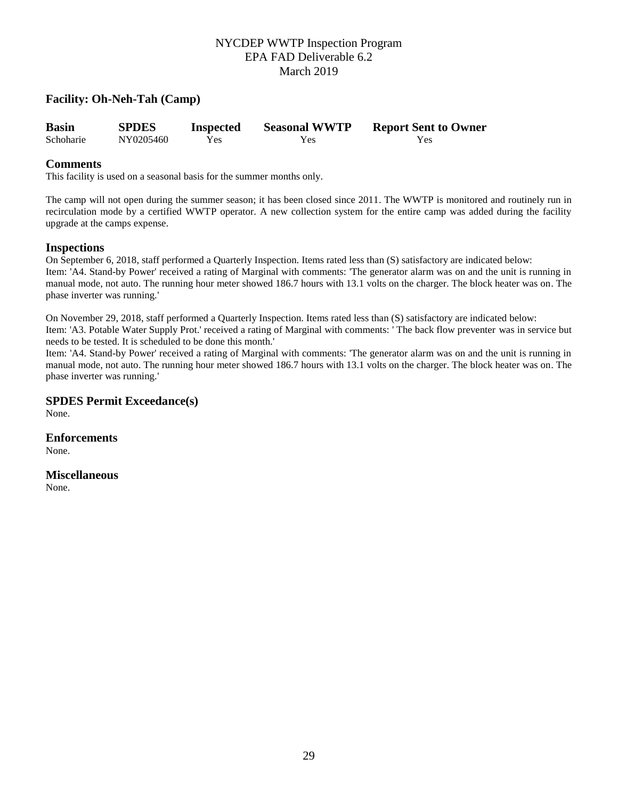### **Facility: Oh-Neh-Tah (Camp)**

| <b>Basin</b> | <b>SPDES</b> | <b>Inspected</b> | <b>Seasonal WWTP</b> | <b>Report Sent to Owner</b> |
|--------------|--------------|------------------|----------------------|-----------------------------|
| Schoharie    | NY0205460    | Yes              | Yes                  | Yes.                        |

### **Comments**

This facility is used on a seasonal basis for the summer months only.

The camp will not open during the summer season; it has been closed since 2011. The WWTP is monitored and routinely run in recirculation mode by a certified WWTP operator. A new collection system for the entire camp was added during the facility upgrade at the camps expense.

#### **Inspections**

On September 6, 2018, staff performed a Quarterly Inspection. Items rated less than (S) satisfactory are indicated below: Item: 'A4. Stand-by Power' received a rating of Marginal with comments: 'The generator alarm was on and the unit is running in manual mode, not auto. The running hour meter showed 186.7 hours with 13.1 volts on the charger. The block heater was on. The phase inverter was running.'

On November 29, 2018, staff performed a Quarterly Inspection. Items rated less than (S) satisfactory are indicated below: Item: 'A3. Potable Water Supply Prot.' received a rating of Marginal with comments: ' The back flow preventer was in service but needs to be tested. It is scheduled to be done this month.'

Item: 'A4. Stand-by Power' received a rating of Marginal with comments: 'The generator alarm was on and the unit is running in manual mode, not auto. The running hour meter showed 186.7 hours with 13.1 volts on the charger. The block heater was on. The phase inverter was running.'

### **SPDES Permit Exceedance(s)**

None.

**Enforcements** None.

#### **Miscellaneous**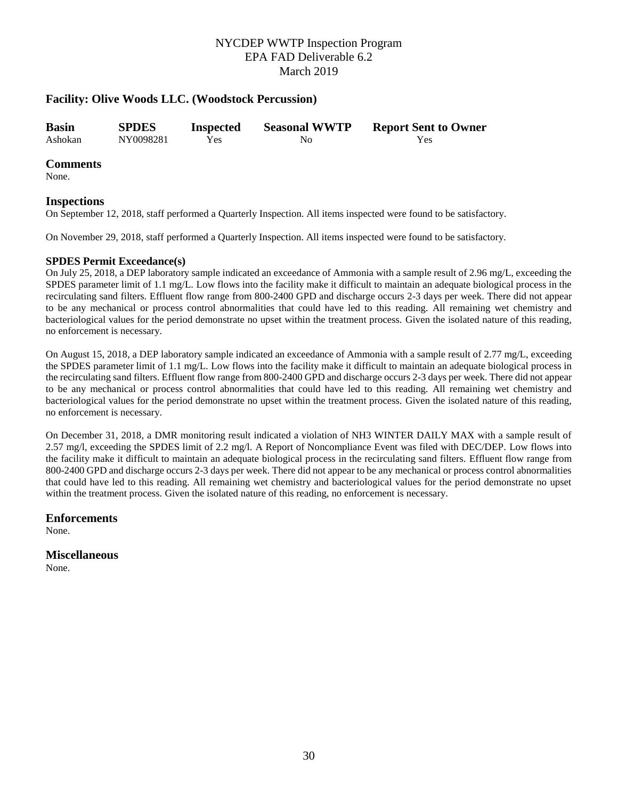### **Facility: Olive Woods LLC. (Woodstock Percussion)**

| <b>Basin</b> | <b>SPDES</b> | <b>Inspected</b> | <b>Seasonal WWTP</b> | <b>Report Sent to Owner</b> |
|--------------|--------------|------------------|----------------------|-----------------------------|
| Ashokan      | NY0098281    | Yes              | No                   | Yes                         |

#### **Comments**

None.

#### **Inspections**

On September 12, 2018, staff performed a Quarterly Inspection. All items inspected were found to be satisfactory.

On November 29, 2018, staff performed a Quarterly Inspection. All items inspected were found to be satisfactory.

#### **SPDES Permit Exceedance(s)**

On July 25, 2018, a DEP laboratory sample indicated an exceedance of Ammonia with a sample result of 2.96 mg/L, exceeding the SPDES parameter limit of 1.1 mg/L. Low flows into the facility make it difficult to maintain an adequate biological process in the recirculating sand filters. Effluent flow range from 800-2400 GPD and discharge occurs 2-3 days per week. There did not appear to be any mechanical or process control abnormalities that could have led to this reading. All remaining wet chemistry and bacteriological values for the period demonstrate no upset within the treatment process. Given the isolated nature of this reading, no enforcement is necessary.

On August 15, 2018, a DEP laboratory sample indicated an exceedance of Ammonia with a sample result of 2.77 mg/L, exceeding the SPDES parameter limit of 1.1 mg/L. Low flows into the facility make it difficult to maintain an adequate biological process in the recirculating sand filters. Effluent flow range from 800-2400 GPD and discharge occurs 2-3 days per week. There did not appear to be any mechanical or process control abnormalities that could have led to this reading. All remaining wet chemistry and bacteriological values for the period demonstrate no upset within the treatment process. Given the isolated nature of this reading, no enforcement is necessary.

On December 31, 2018, a DMR monitoring result indicated a violation of NH3 WINTER DAILY MAX with a sample result of 2.57 mg/l, exceeding the SPDES limit of 2.2 mg/l. A Report of Noncompliance Event was filed with DEC/DEP. Low flows into the facility make it difficult to maintain an adequate biological process in the recirculating sand filters. Effluent flow range from 800-2400 GPD and discharge occurs 2-3 days per week. There did not appear to be any mechanical or process control abnormalities that could have led to this reading. All remaining wet chemistry and bacteriological values for the period demonstrate no upset within the treatment process. Given the isolated nature of this reading, no enforcement is necessary.

#### **Enforcements**

None.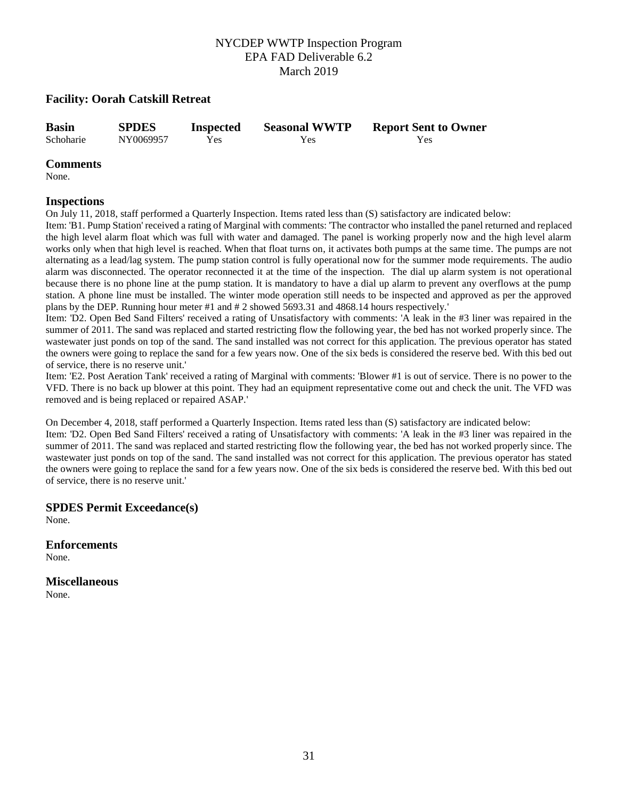### **Facility: Oorah Catskill Retreat**

| <b>Basin</b> | <b>SPDES</b> | <b>Inspected</b> | <b>Seasonal WWTP</b> | <b>Report Sent to Owner</b> |
|--------------|--------------|------------------|----------------------|-----------------------------|
| Schoharie    | NY0069957    | Yes              | Yes                  | <b>Yes</b>                  |

#### **Comments**

None.

#### **Inspections**

On July 11, 2018, staff performed a Quarterly Inspection. Items rated less than (S) satisfactory are indicated below:

Item: 'B1. Pump Station' received a rating of Marginal with comments: 'The contractor who installed the panel returned and replaced the high level alarm float which was full with water and damaged. The panel is working properly now and the high level alarm works only when that high level is reached. When that float turns on, it activates both pumps at the same time. The pumps are not alternating as a lead/lag system. The pump station control is fully operational now for the summer mode requirements. The audio alarm was disconnected. The operator reconnected it at the time of the inspection. The dial up alarm system is not operational because there is no phone line at the pump station. It is mandatory to have a dial up alarm to prevent any overflows at the pump station. A phone line must be installed. The winter mode operation still needs to be inspected and approved as per the approved plans by the DEP. Running hour meter #1 and # 2 showed 5693.31 and 4868.14 hours respectively.'

Item: 'D2. Open Bed Sand Filters' received a rating of Unsatisfactory with comments: 'A leak in the #3 liner was repaired in the summer of 2011. The sand was replaced and started restricting flow the following year, the bed has not worked properly since. The wastewater just ponds on top of the sand. The sand installed was not correct for this application. The previous operator has stated the owners were going to replace the sand for a few years now. One of the six beds is considered the reserve bed. With this bed out of service, there is no reserve unit.'

Item: 'E2. Post Aeration Tank' received a rating of Marginal with comments: 'Blower #1 is out of service. There is no power to the VFD. There is no back up blower at this point. They had an equipment representative come out and check the unit. The VFD was removed and is being replaced or repaired ASAP.'

On December 4, 2018, staff performed a Quarterly Inspection. Items rated less than (S) satisfactory are indicated below:

Item: 'D2. Open Bed Sand Filters' received a rating of Unsatisfactory with comments: 'A leak in the #3 liner was repaired in the summer of 2011. The sand was replaced and started restricting flow the following year, the bed has not worked properly since. The wastewater just ponds on top of the sand. The sand installed was not correct for this application. The previous operator has stated the owners were going to replace the sand for a few years now. One of the six beds is considered the reserve bed. With this bed out of service, there is no reserve unit.'

#### **SPDES Permit Exceedance(s)**

None.

### **Enforcements**

None.

# **Miscellaneous**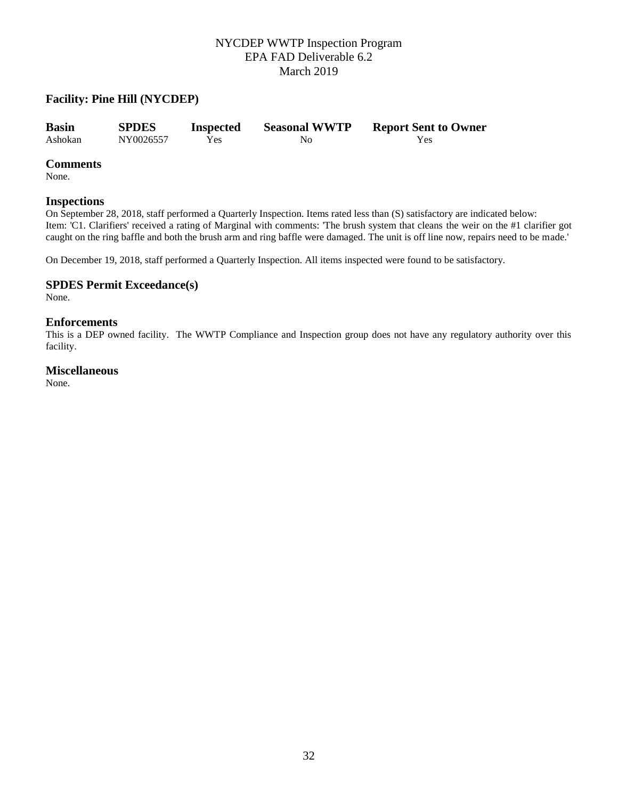### **Facility: Pine Hill (NYCDEP)**

| <b>Basin</b> | <b>SPDES</b> | <b>Inspected</b> | <b>Seasonal WWTP</b> | <b>Report Sent to Owner</b> |
|--------------|--------------|------------------|----------------------|-----------------------------|
| Ashokan      | NY0026557    | Yes              | No                   | Yes                         |

#### **Comments**

None.

#### **Inspections**

On September 28, 2018, staff performed a Quarterly Inspection. Items rated less than (S) satisfactory are indicated below: Item: 'C1. Clarifiers' received a rating of Marginal with comments: 'The brush system that cleans the weir on the #1 clarifier got caught on the ring baffle and both the brush arm and ring baffle were damaged. The unit is off line now, repairs need to be made.'

On December 19, 2018, staff performed a Quarterly Inspection. All items inspected were found to be satisfactory.

#### **SPDES Permit Exceedance(s)**

None.

#### **Enforcements**

This is a DEP owned facility. The WWTP Compliance and Inspection group does not have any regulatory authority over this facility.

#### **Miscellaneous**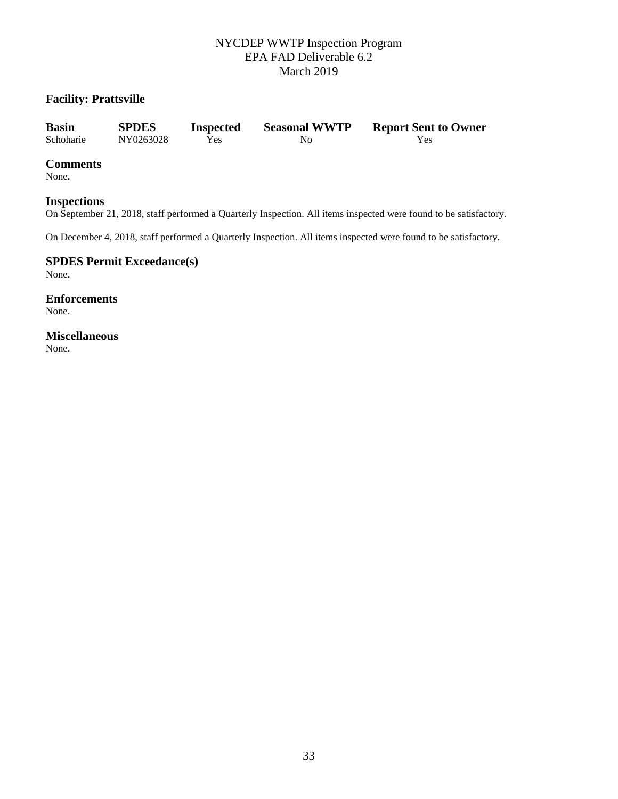### **Facility: Prattsville**

| <b>Basin</b> | <b>SPDES</b> | <b>Inspected</b> | <b>Seasonal WWTP</b> | <b>Report Sent to Owner</b> |
|--------------|--------------|------------------|----------------------|-----------------------------|
| Schoharie    | NY0263028    | Yes              | N <sub>0</sub>       | Yes                         |

#### **Comments**

None.

#### **Inspections**

On September 21, 2018, staff performed a Quarterly Inspection. All items inspected were found to be satisfactory.

On December 4, 2018, staff performed a Quarterly Inspection. All items inspected were found to be satisfactory.

**SPDES Permit Exceedance(s)** None.

**Enforcements** None.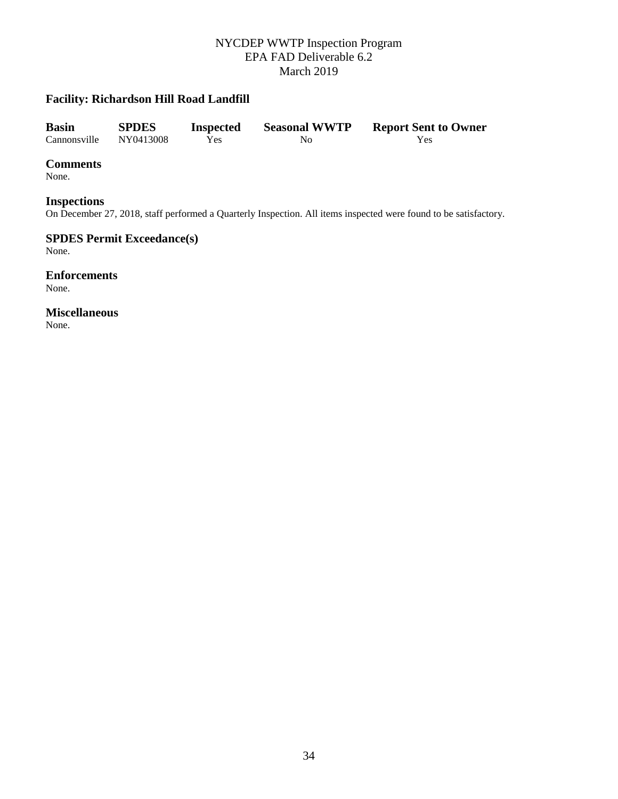### **Facility: Richardson Hill Road Landfill**

| <b>Basin</b> | <b>SPDES</b> | <b>Inspected</b> | <b>Seasonal WWTP</b> | <b>Report Sent to Owner</b> |
|--------------|--------------|------------------|----------------------|-----------------------------|
| Cannonsville | NY0413008    | Yes              | No.                  | Yes                         |

#### **Comments**

None.

### **Inspections**

On December 27, 2018, staff performed a Quarterly Inspection. All items inspected were found to be satisfactory.

**SPDES Permit Exceedance(s)** None.

**Enforcements** None.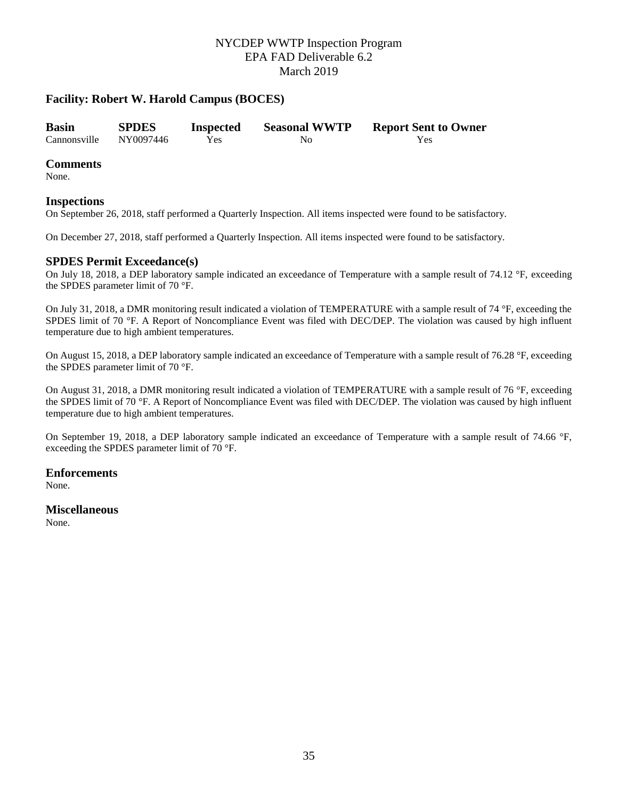### **Facility: Robert W. Harold Campus (BOCES)**

| <b>Basin</b> | <b>SPDES</b> | <b>Inspected</b> | <b>Seasonal WWTP</b> | <b>Report Sent to Owner</b> |
|--------------|--------------|------------------|----------------------|-----------------------------|
| Cannonsville | NY0097446    | Yes              | No.                  | Yes                         |

#### **Comments**

None.

#### **Inspections**

On September 26, 2018, staff performed a Quarterly Inspection. All items inspected were found to be satisfactory.

On December 27, 2018, staff performed a Quarterly Inspection. All items inspected were found to be satisfactory.

#### **SPDES Permit Exceedance(s)**

On July 18, 2018, a DEP laboratory sample indicated an exceedance of Temperature with a sample result of 74.12 °F, exceeding the SPDES parameter limit of 70 °F.

On July 31, 2018, a DMR monitoring result indicated a violation of TEMPERATURE with a sample result of 74 °F, exceeding the SPDES limit of 70 °F. A Report of Noncompliance Event was filed with DEC/DEP. The violation was caused by high influent temperature due to high ambient temperatures.

On August 15, 2018, a DEP laboratory sample indicated an exceedance of Temperature with a sample result of 76.28 °F, exceeding the SPDES parameter limit of 70 °F.

On August 31, 2018, a DMR monitoring result indicated a violation of TEMPERATURE with a sample result of 76 °F, exceeding the SPDES limit of 70 °F. A Report of Noncompliance Event was filed with DEC/DEP. The violation was caused by high influent temperature due to high ambient temperatures.

On September 19, 2018, a DEP laboratory sample indicated an exceedance of Temperature with a sample result of 74.66 °F, exceeding the SPDES parameter limit of 70 °F.

#### **Enforcements**

None.

### **Miscellaneous**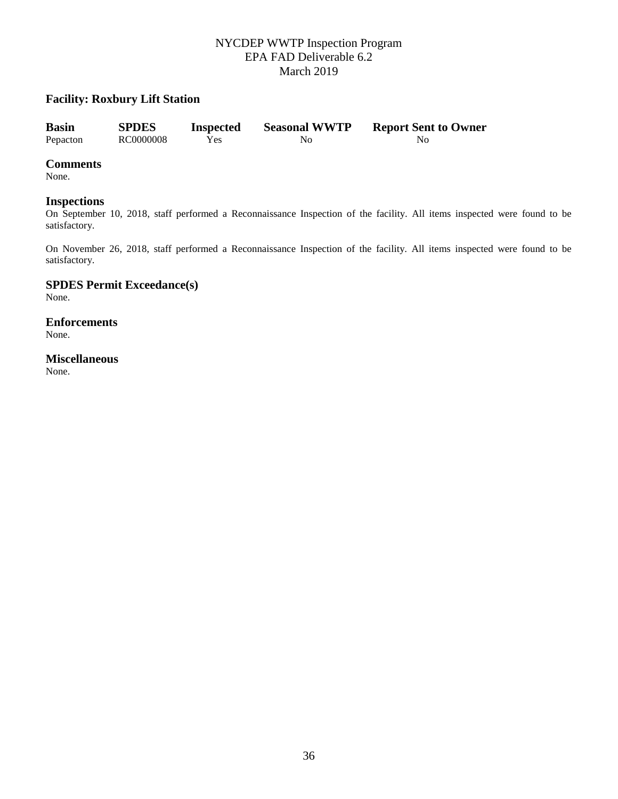### **Facility: Roxbury Lift Station**

| <b>Basin</b> | <b>SPDES</b> | <b>Inspected</b> | <b>Seasonal WWTP</b> | <b>Report Sent to Owner</b> |
|--------------|--------------|------------------|----------------------|-----------------------------|
| Pepacton     | RC0000008    | Yes              | No                   | No                          |

#### **Comments**

None.

#### **Inspections**

On September 10, 2018, staff performed a Reconnaissance Inspection of the facility. All items inspected were found to be satisfactory.

On November 26, 2018, staff performed a Reconnaissance Inspection of the facility. All items inspected were found to be satisfactory.

### **SPDES Permit Exceedance(s)**

None.

### **Enforcements**

None.

### **Miscellaneous**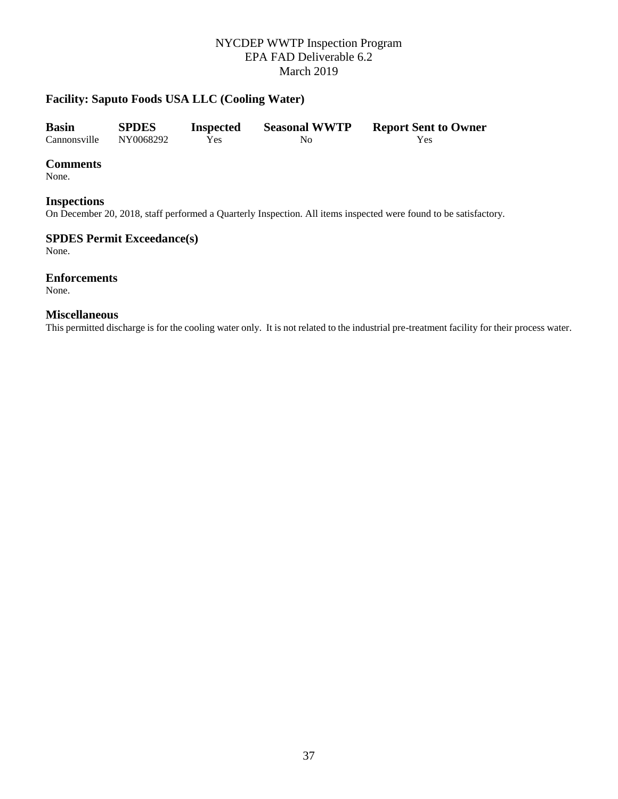### **Facility: Saputo Foods USA LLC (Cooling Water)**

| <b>Basin</b> | <b>SPDES</b> | <b>Inspected</b> | <b>Seasonal WWTP</b> | <b>Report Sent to Owner</b> |
|--------------|--------------|------------------|----------------------|-----------------------------|
| Cannonsville | NY0068292    | <b>Yes</b>       | No.                  | Yes                         |

### **Comments**

None.

#### **Inspections**

On December 20, 2018, staff performed a Quarterly Inspection. All items inspected were found to be satisfactory.

#### **SPDES Permit Exceedance(s)** None.

**Enforcements**

None.

#### **Miscellaneous**

This permitted discharge is for the cooling water only. It is not related to the industrial pre-treatment facility for their process water.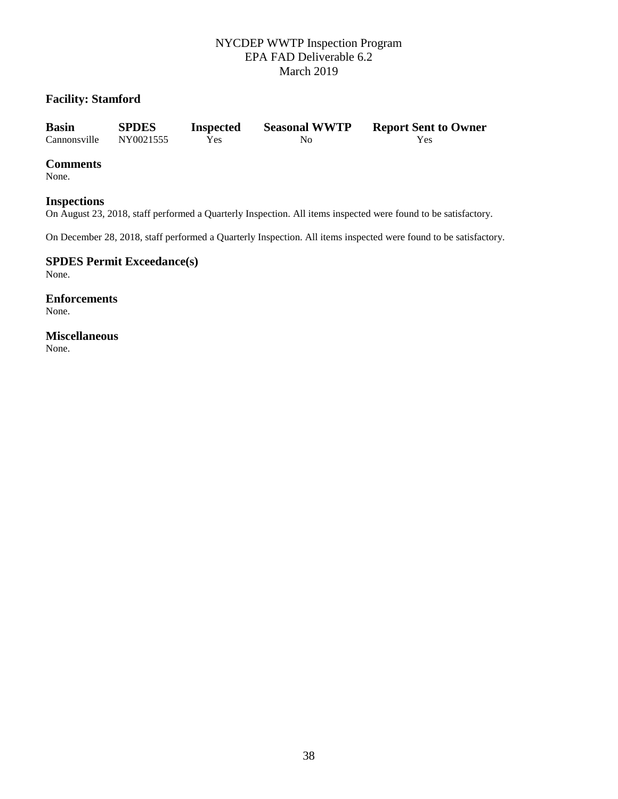### **Facility: Stamford**

| <b>Basin</b> | <b>SPDES</b> | <b>Inspected</b> | <b>Seasonal WWTP</b> | <b>Report Sent to Owner</b> |
|--------------|--------------|------------------|----------------------|-----------------------------|
| Cannonsville | NY0021555    | Yes              | No                   | Yes                         |

#### **Comments**

None.

### **Inspections**

On August 23, 2018, staff performed a Quarterly Inspection. All items inspected were found to be satisfactory.

On December 28, 2018, staff performed a Quarterly Inspection. All items inspected were found to be satisfactory.

#### **SPDES Permit Exceedance(s)** None.

**Enforcements** None.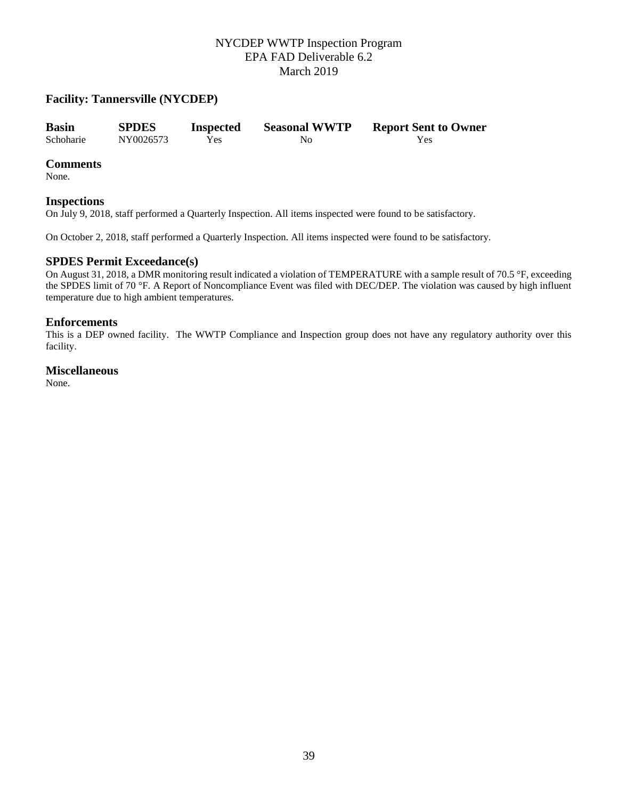### **Facility: Tannersville (NYCDEP)**

| <b>Basin</b> | <b>SPDES</b> | <b>Inspected</b> | <b>Seasonal WWTP</b> | <b>Report Sent to Owner</b> |
|--------------|--------------|------------------|----------------------|-----------------------------|
| Schoharie    | NY0026573    | Yes              | N0                   | Yes                         |

#### **Comments**

None.

#### **Inspections**

On July 9, 2018, staff performed a Quarterly Inspection. All items inspected were found to be satisfactory.

On October 2, 2018, staff performed a Quarterly Inspection. All items inspected were found to be satisfactory.

### **SPDES Permit Exceedance(s)**

On August 31, 2018, a DMR monitoring result indicated a violation of TEMPERATURE with a sample result of 70.5 °F, exceeding the SPDES limit of 70 °F. A Report of Noncompliance Event was filed with DEC/DEP. The violation was caused by high influent temperature due to high ambient temperatures.

#### **Enforcements**

This is a DEP owned facility. The WWTP Compliance and Inspection group does not have any regulatory authority over this facility.

#### **Miscellaneous**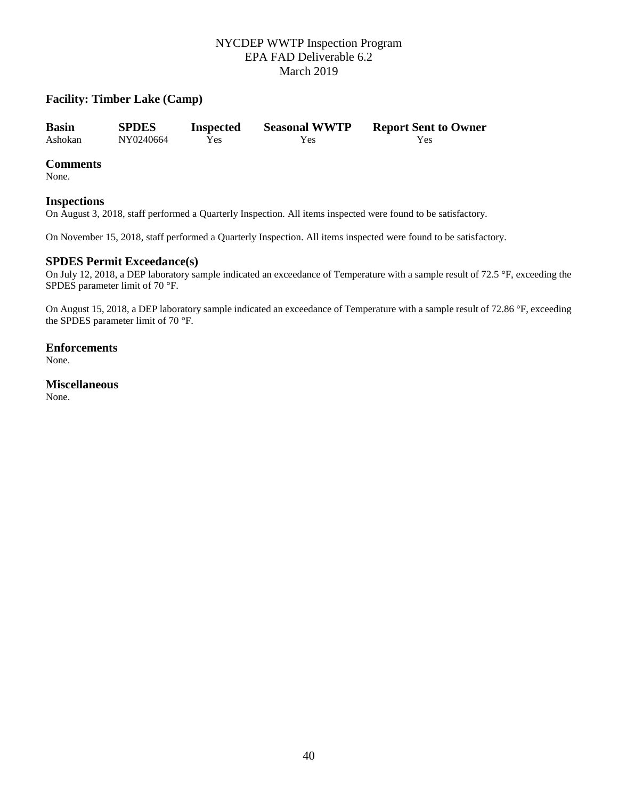### **Facility: Timber Lake (Camp)**

| <b>Basin</b> | <b>SPDES</b> | <b>Inspected</b> | <b>Seasonal WWTP</b> | <b>Report Sent to Owner</b> |
|--------------|--------------|------------------|----------------------|-----------------------------|
| Ashokan      | NY0240664    | Yes              | Yes                  | Yes                         |

#### **Comments**

None.

#### **Inspections**

On August 3, 2018, staff performed a Quarterly Inspection. All items inspected were found to be satisfactory.

On November 15, 2018, staff performed a Quarterly Inspection. All items inspected were found to be satisfactory.

### **SPDES Permit Exceedance(s)**

On July 12, 2018, a DEP laboratory sample indicated an exceedance of Temperature with a sample result of 72.5 °F, exceeding the SPDES parameter limit of 70 °F.

On August 15, 2018, a DEP laboratory sample indicated an exceedance of Temperature with a sample result of 72.86 °F, exceeding the SPDES parameter limit of 70 °F.

### **Enforcements**

None.

# **Miscellaneous**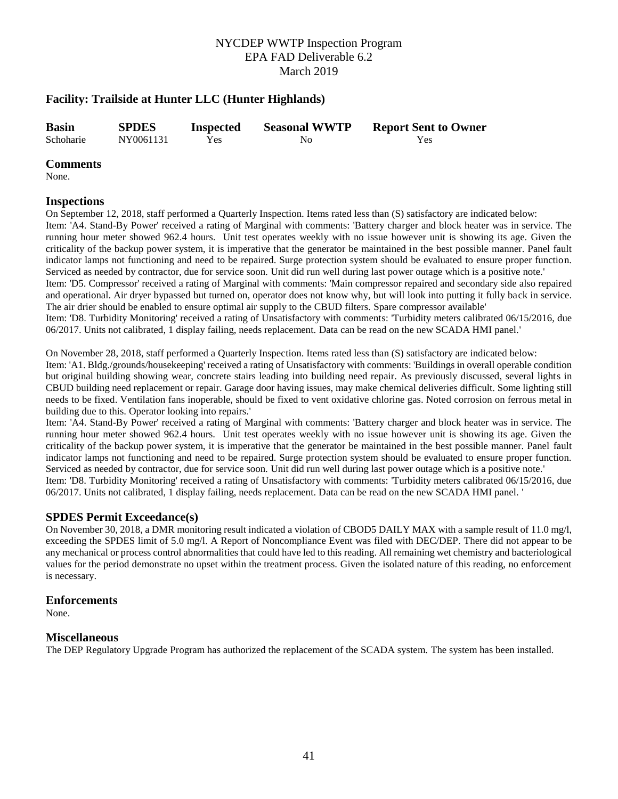### **Facility: Trailside at Hunter LLC (Hunter Highlands)**

| <b>Basin</b> | <b>SPDES</b> | <b>Inspected</b> | <b>Seasonal WWTP</b> | <b>Report Sent to Owner</b> |
|--------------|--------------|------------------|----------------------|-----------------------------|
| Schoharie    | NY0061131    | Yes.             | No                   | Yes                         |

#### **Comments**

None.

#### **Inspections**

On September 12, 2018, staff performed a Quarterly Inspection. Items rated less than (S) satisfactory are indicated below: Item: 'A4. Stand-By Power' received a rating of Marginal with comments: 'Battery charger and block heater was in service. The running hour meter showed 962.4 hours. Unit test operates weekly with no issue however unit is showing its age. Given the criticality of the backup power system, it is imperative that the generator be maintained in the best possible manner. Panel fault indicator lamps not functioning and need to be repaired. Surge protection system should be evaluated to ensure proper function. Serviced as needed by contractor, due for service soon. Unit did run well during last power outage which is a positive note.' Item: 'D5. Compressor' received a rating of Marginal with comments: 'Main compressor repaired and secondary side also repaired and operational. Air dryer bypassed but turned on, operator does not know why, but will look into putting it fully back in service. The air drier should be enabled to ensure optimal air supply to the CBUD filters. Spare compressor available' Item: 'D8. Turbidity Monitoring' received a rating of Unsatisfactory with comments: 'Turbidity meters calibrated 06/15/2016, due 06/2017. Units not calibrated, 1 display failing, needs replacement. Data can be read on the new SCADA HMI panel.'

On November 28, 2018, staff performed a Quarterly Inspection. Items rated less than (S) satisfactory are indicated below:

Item: 'A1. Bldg./grounds/housekeeping' received a rating of Unsatisfactory with comments: 'Buildings in overall operable condition but original building showing wear, concrete stairs leading into building need repair. As previously discussed, several lights in CBUD building need replacement or repair. Garage door having issues, may make chemical deliveries difficult. Some lighting still needs to be fixed. Ventilation fans inoperable, should be fixed to vent oxidative chlorine gas. Noted corrosion on ferrous metal in building due to this. Operator looking into repairs.'

Item: 'A4. Stand-By Power' received a rating of Marginal with comments: 'Battery charger and block heater was in service. The running hour meter showed 962.4 hours. Unit test operates weekly with no issue however unit is showing its age. Given the criticality of the backup power system, it is imperative that the generator be maintained in the best possible manner. Panel fault indicator lamps not functioning and need to be repaired. Surge protection system should be evaluated to ensure proper function. Serviced as needed by contractor, due for service soon. Unit did run well during last power outage which is a positive note.' Item: 'D8. Turbidity Monitoring' received a rating of Unsatisfactory with comments: 'Turbidity meters calibrated 06/15/2016, due 06/2017. Units not calibrated, 1 display failing, needs replacement. Data can be read on the new SCADA HMI panel. '

#### **SPDES Permit Exceedance(s)**

On November 30, 2018, a DMR monitoring result indicated a violation of CBOD5 DAILY MAX with a sample result of 11.0 mg/l, exceeding the SPDES limit of 5.0 mg/l. A Report of Noncompliance Event was filed with DEC/DEP. There did not appear to be any mechanical or process control abnormalities that could have led to this reading. All remaining wet chemistry and bacteriological values for the period demonstrate no upset within the treatment process. Given the isolated nature of this reading, no enforcement is necessary.

#### **Enforcements**

None.

### **Miscellaneous**

The DEP Regulatory Upgrade Program has authorized the replacement of the SCADA system. The system has been installed.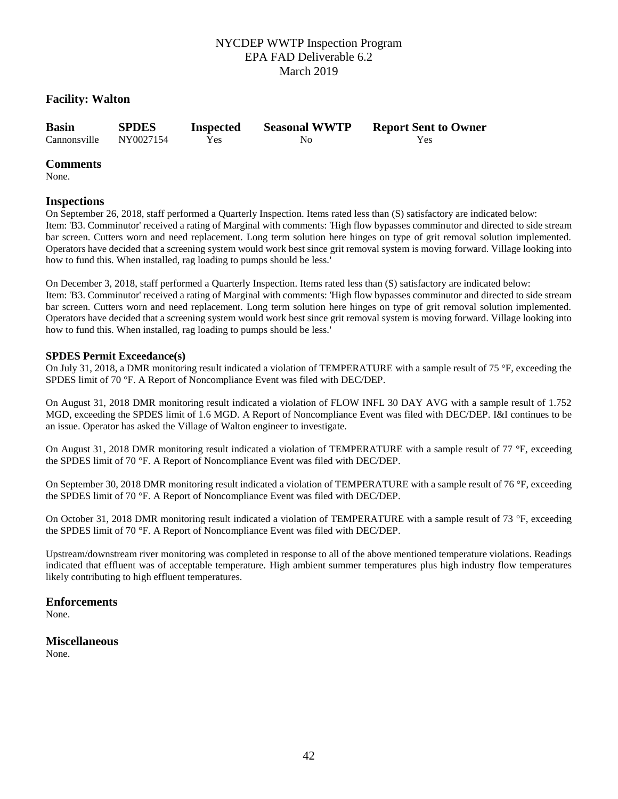### **Facility: Walton**

| <b>Basin</b> | <b>SPDES</b> | <b>Inspected</b> | <b>Seasonal WWTP</b> | <b>Report Sent to Owner</b> |
|--------------|--------------|------------------|----------------------|-----------------------------|
| Cannonsville | NY0027154    | Yes              | No.                  | Yes                         |

#### **Comments**

None.

#### **Inspections**

On September 26, 2018, staff performed a Quarterly Inspection. Items rated less than (S) satisfactory are indicated below: Item: 'B3. Comminutor' received a rating of Marginal with comments: 'High flow bypasses comminutor and directed to side stream bar screen. Cutters worn and need replacement. Long term solution here hinges on type of grit removal solution implemented. Operators have decided that a screening system would work best since grit removal system is moving forward. Village looking into how to fund this. When installed, rag loading to pumps should be less.'

On December 3, 2018, staff performed a Quarterly Inspection. Items rated less than (S) satisfactory are indicated below: Item: 'B3. Comminutor' received a rating of Marginal with comments: 'High flow bypasses comminutor and directed to side stream bar screen. Cutters worn and need replacement. Long term solution here hinges on type of grit removal solution implemented. Operators have decided that a screening system would work best since grit removal system is moving forward. Village looking into how to fund this. When installed, rag loading to pumps should be less.'

#### **SPDES Permit Exceedance(s)**

On July 31, 2018, a DMR monitoring result indicated a violation of TEMPERATURE with a sample result of 75 °F, exceeding the SPDES limit of 70 °F. A Report of Noncompliance Event was filed with DEC/DEP.

On August 31, 2018 DMR monitoring result indicated a violation of FLOW INFL 30 DAY AVG with a sample result of 1.752 MGD, exceeding the SPDES limit of 1.6 MGD. A Report of Noncompliance Event was filed with DEC/DEP. I&I continues to be an issue. Operator has asked the Village of Walton engineer to investigate.

On August 31, 2018 DMR monitoring result indicated a violation of TEMPERATURE with a sample result of 77 °F, exceeding the SPDES limit of 70 °F. A Report of Noncompliance Event was filed with DEC/DEP.

On September 30, 2018 DMR monitoring result indicated a violation of TEMPERATURE with a sample result of 76 °F, exceeding the SPDES limit of 70 °F. A Report of Noncompliance Event was filed with DEC/DEP.

On October 31, 2018 DMR monitoring result indicated a violation of TEMPERATURE with a sample result of 73  $\degree$ F, exceeding the SPDES limit of 70 °F. A Report of Noncompliance Event was filed with DEC/DEP.

Upstream/downstream river monitoring was completed in response to all of the above mentioned temperature violations. Readings indicated that effluent was of acceptable temperature. High ambient summer temperatures plus high industry flow temperatures likely contributing to high effluent temperatures.

#### **Enforcements**

None.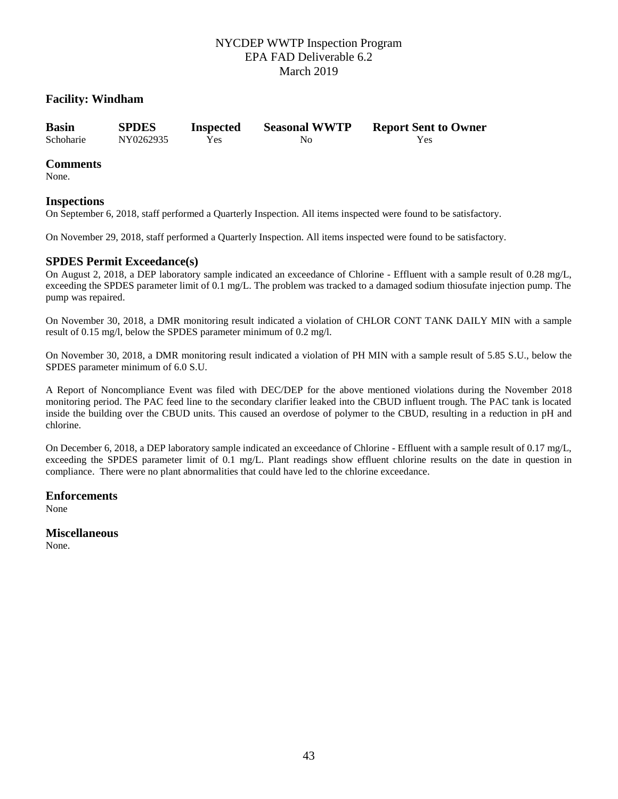### **Facility: Windham**

| <b>Basin</b> | <b>SPDES</b> | <b>Inspected</b> | <b>Seasonal WWTP</b> | <b>Report Sent to Owner</b> |
|--------------|--------------|------------------|----------------------|-----------------------------|
| Schoharie    | NY0262935    | Yes              | No.                  | Yes                         |

#### **Comments**

None.

#### **Inspections**

On September 6, 2018, staff performed a Quarterly Inspection. All items inspected were found to be satisfactory.

On November 29, 2018, staff performed a Quarterly Inspection. All items inspected were found to be satisfactory.

#### **SPDES Permit Exceedance(s)**

On August 2, 2018, a DEP laboratory sample indicated an exceedance of Chlorine - Effluent with a sample result of 0.28 mg/L, exceeding the SPDES parameter limit of 0.1 mg/L. The problem was tracked to a damaged sodium thiosufate injection pump. The pump was repaired.

On November 30, 2018, a DMR monitoring result indicated a violation of CHLOR CONT TANK DAILY MIN with a sample result of 0.15 mg/l, below the SPDES parameter minimum of 0.2 mg/l.

On November 30, 2018, a DMR monitoring result indicated a violation of PH MIN with a sample result of 5.85 S.U., below the SPDES parameter minimum of 6.0 S.U.

A Report of Noncompliance Event was filed with DEC/DEP for the above mentioned violations during the November 2018 monitoring period. The PAC feed line to the secondary clarifier leaked into the CBUD influent trough. The PAC tank is located inside the building over the CBUD units. This caused an overdose of polymer to the CBUD, resulting in a reduction in pH and chlorine.

On December 6, 2018, a DEP laboratory sample indicated an exceedance of Chlorine - Effluent with a sample result of 0.17 mg/L, exceeding the SPDES parameter limit of 0.1 mg/L. Plant readings show effluent chlorine results on the date in question in compliance. There were no plant abnormalities that could have led to the chlorine exceedance.

#### **Enforcements**

None

# **Miscellaneous**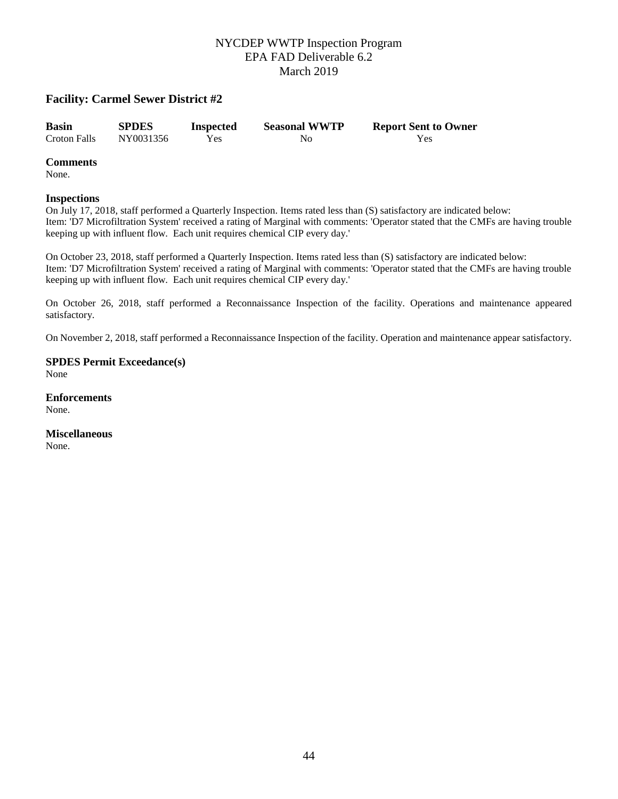### **Facility: Carmel Sewer District #2**

| <b>Basin</b>        | <b>SPDES</b> | <b>Inspected</b> | <b>Seasonal WWTP</b> | <b>Report Sent to Owner</b> |
|---------------------|--------------|------------------|----------------------|-----------------------------|
| <b>Croton Falls</b> | NY0031356    | Yes.             | No                   | Yes                         |

#### **Comments**

None.

#### **Inspections**

On July 17, 2018, staff performed a Quarterly Inspection. Items rated less than (S) satisfactory are indicated below: Item: 'D7 Microfiltration System' received a rating of Marginal with comments: 'Operator stated that the CMFs are having trouble keeping up with influent flow. Each unit requires chemical CIP every day.'

On October 23, 2018, staff performed a Quarterly Inspection. Items rated less than (S) satisfactory are indicated below: Item: 'D7 Microfiltration System' received a rating of Marginal with comments: 'Operator stated that the CMFs are having trouble keeping up with influent flow. Each unit requires chemical CIP every day.'

On October 26, 2018, staff performed a Reconnaissance Inspection of the facility. Operations and maintenance appeared satisfactory.

On November 2, 2018, staff performed a Reconnaissance Inspection of the facility. Operation and maintenance appear satisfactory.

#### **SPDES Permit Exceedance(s)** None

**Enforcements**

None.

#### **Miscellaneous**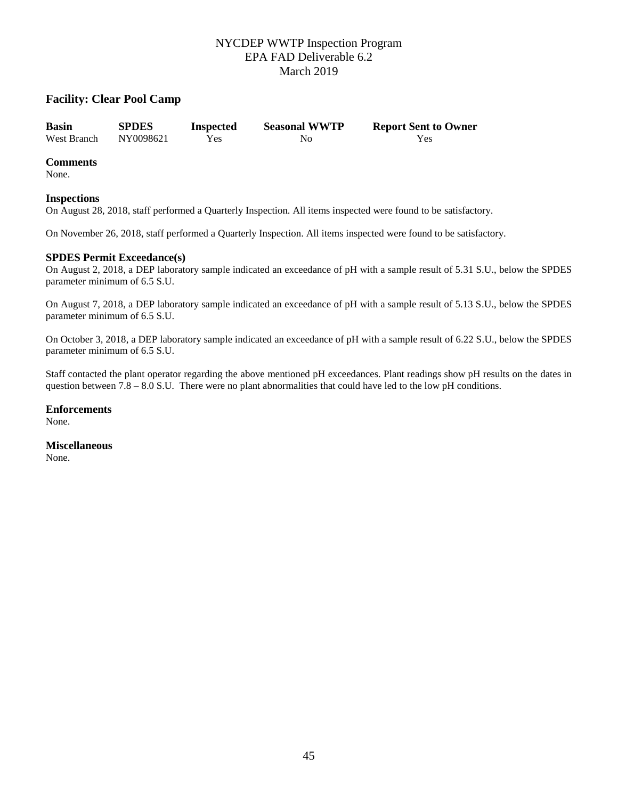### **Facility: Clear Pool Camp**

| <b>Basin</b> | <b>SPDES</b> | <b>Inspected</b> | <b>Seasonal WWTP</b> | <b>Report Sent to Owner</b> |
|--------------|--------------|------------------|----------------------|-----------------------------|
| West Branch  | NY0098621    | Yes              | No                   | Yes                         |

#### **Comments**

None.

#### **Inspections**

On August 28, 2018, staff performed a Quarterly Inspection. All items inspected were found to be satisfactory.

On November 26, 2018, staff performed a Quarterly Inspection. All items inspected were found to be satisfactory.

#### **SPDES Permit Exceedance(s)**

On August 2, 2018, a DEP laboratory sample indicated an exceedance of pH with a sample result of 5.31 S.U., below the SPDES parameter minimum of 6.5 S.U.

On August 7, 2018, a DEP laboratory sample indicated an exceedance of pH with a sample result of 5.13 S.U., below the SPDES parameter minimum of 6.5 S.U.

On October 3, 2018, a DEP laboratory sample indicated an exceedance of pH with a sample result of 6.22 S.U., below the SPDES parameter minimum of 6.5 S.U.

Staff contacted the plant operator regarding the above mentioned pH exceedances. Plant readings show pH results on the dates in question between  $7.8 - 8.0$  S.U. There were no plant abnormalities that could have led to the low pH conditions.

#### **Enforcements**

None.

### **Miscellaneous**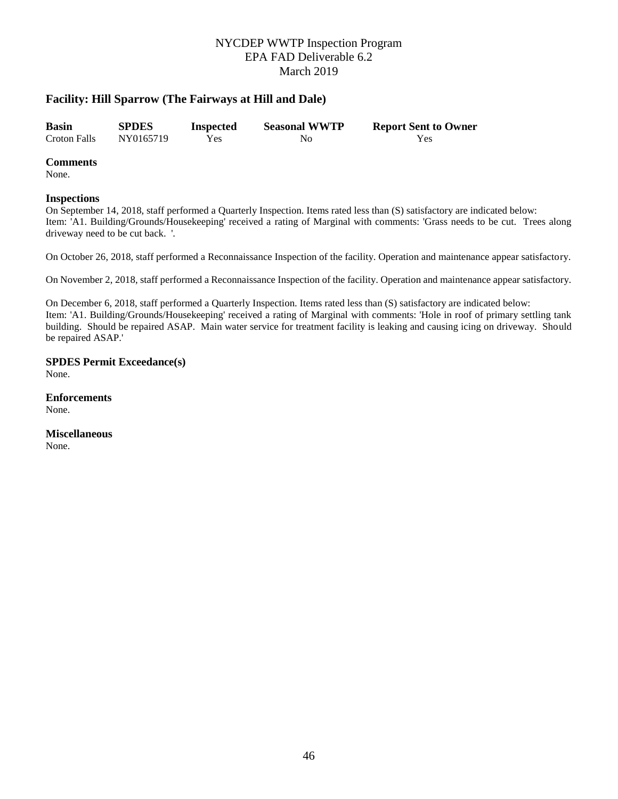### **Facility: Hill Sparrow (The Fairways at Hill and Dale)**

| <b>Basin</b> | <b>SPDES</b> | <b>Inspected</b> | <b>Seasonal WWTP</b> | <b>Report Sent to Owner</b> |
|--------------|--------------|------------------|----------------------|-----------------------------|
| Croton Falls | NY0165719    | <b>Yes</b>       | No                   | Yes                         |

#### **Comments**

None.

#### **Inspections**

On September 14, 2018, staff performed a Quarterly Inspection. Items rated less than (S) satisfactory are indicated below: Item: 'A1. Building/Grounds/Housekeeping' received a rating of Marginal with comments: 'Grass needs to be cut. Trees along driveway need to be cut back. '.

On October 26, 2018, staff performed a Reconnaissance Inspection of the facility. Operation and maintenance appear satisfactory.

On November 2, 2018, staff performed a Reconnaissance Inspection of the facility. Operation and maintenance appear satisfactory.

On December 6, 2018, staff performed a Quarterly Inspection. Items rated less than (S) satisfactory are indicated below: Item: 'A1. Building/Grounds/Housekeeping' received a rating of Marginal with comments: 'Hole in roof of primary settling tank building. Should be repaired ASAP. Main water service for treatment facility is leaking and causing icing on driveway. Should be repaired ASAP.'

#### **SPDES Permit Exceedance(s)**

None.

#### **Enforcements**

None.

#### **Miscellaneous**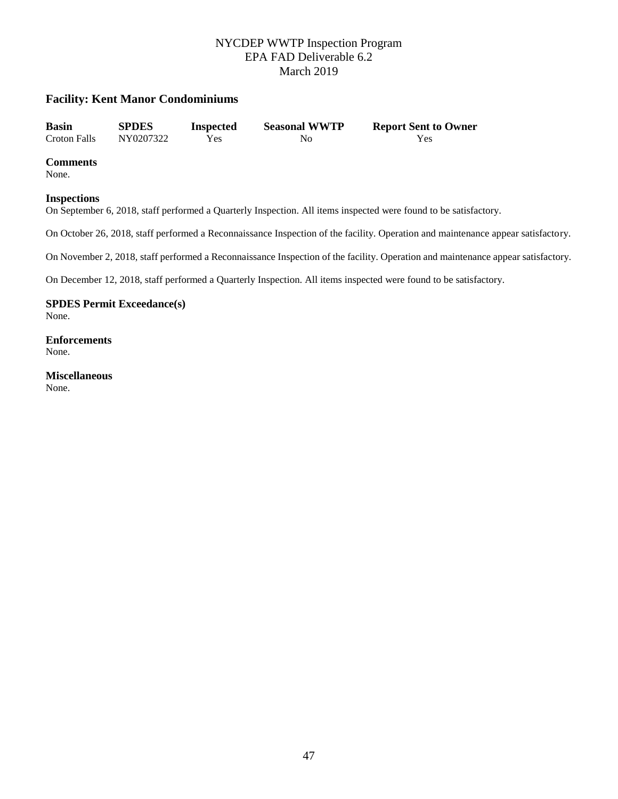### **Facility: Kent Manor Condominiums**

| <b>Basin</b>        | <b>SPDES</b> | <b>Inspected</b> | <b>Seasonal WWTP</b> | <b>Report Sent to Owner</b> |
|---------------------|--------------|------------------|----------------------|-----------------------------|
| <b>Croton Falls</b> | NY0207322    | Yes              | No                   | Yes                         |

#### **Comments**

None.

#### **Inspections**

On September 6, 2018, staff performed a Quarterly Inspection. All items inspected were found to be satisfactory.

On October 26, 2018, staff performed a Reconnaissance Inspection of the facility. Operation and maintenance appear satisfactory.

On November 2, 2018, staff performed a Reconnaissance Inspection of the facility. Operation and maintenance appear satisfactory.

On December 12, 2018, staff performed a Quarterly Inspection. All items inspected were found to be satisfactory.

#### **SPDES Permit Exceedance(s)** None.

# **Enforcements**

None.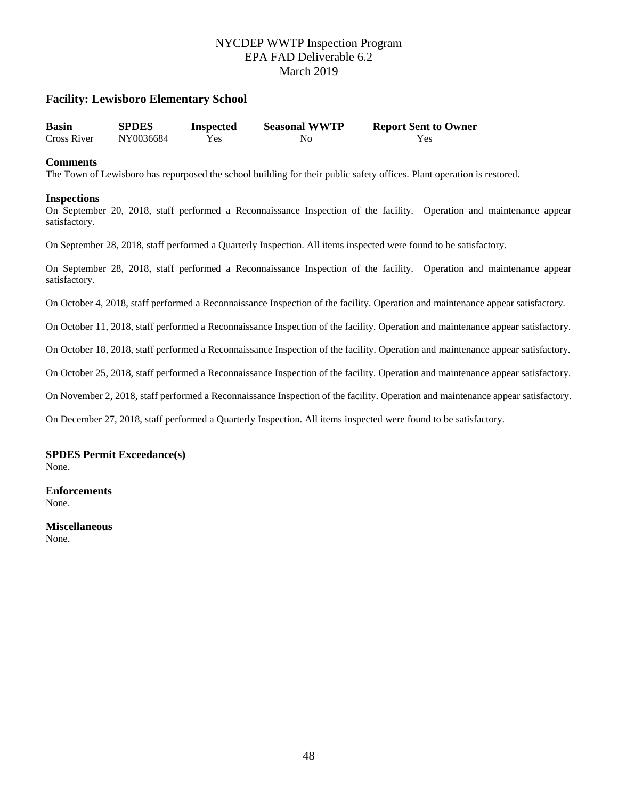### **Facility: Lewisboro Elementary School**

| <b>Basin</b> | <b>SPDES</b> | <b>Inspected</b> | <b>Seasonal WWTP</b> | <b>Report Sent to Owner</b> |
|--------------|--------------|------------------|----------------------|-----------------------------|
| Cross River  | NY0036684    | Yes              | No                   | Yes                         |

#### **Comments**

The Town of Lewisboro has repurposed the school building for their public safety offices. Plant operation is restored.

#### **Inspections**

On September 20, 2018, staff performed a Reconnaissance Inspection of the facility. Operation and maintenance appear satisfactory.

On September 28, 2018, staff performed a Quarterly Inspection. All items inspected were found to be satisfactory.

On September 28, 2018, staff performed a Reconnaissance Inspection of the facility. Operation and maintenance appear satisfactory.

On October 4, 2018, staff performed a Reconnaissance Inspection of the facility. Operation and maintenance appear satisfactory.

On October 11, 2018, staff performed a Reconnaissance Inspection of the facility. Operation and maintenance appear satisfactory.

On October 18, 2018, staff performed a Reconnaissance Inspection of the facility. Operation and maintenance appear satisfactory.

On October 25, 2018, staff performed a Reconnaissance Inspection of the facility. Operation and maintenance appear satisfactory.

On November 2, 2018, staff performed a Reconnaissance Inspection of the facility. Operation and maintenance appear satisfactory.

On December 27, 2018, staff performed a Quarterly Inspection. All items inspected were found to be satisfactory.

# **SPDES Permit Exceedance(s)**

None.

#### **Enforcements** None.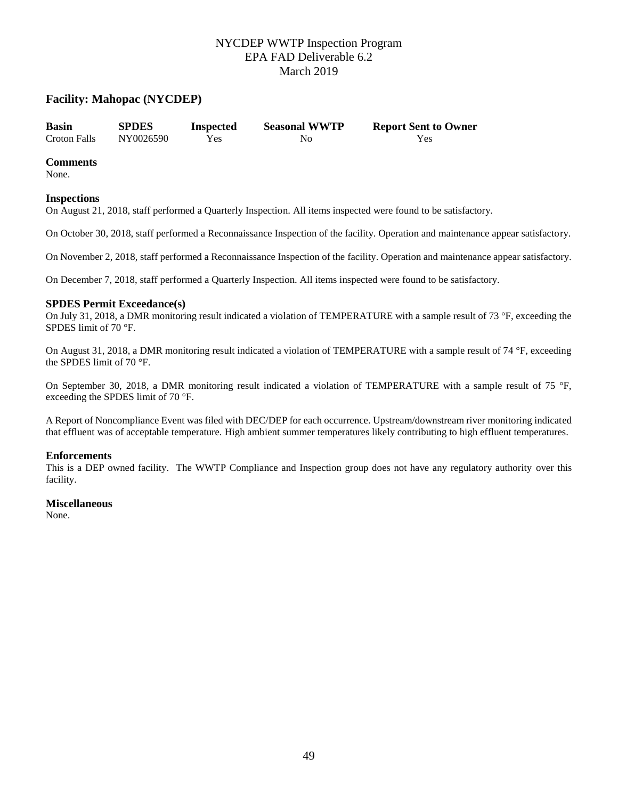### **Facility: Mahopac (NYCDEP)**

| <b>Basin</b>        | <b>SPDES</b> | <b>Inspected</b> | <b>Seasonal WWTP</b> | <b>Report Sent to Owner</b> |
|---------------------|--------------|------------------|----------------------|-----------------------------|
| <b>Croton Falls</b> | NY0026590    | Yes              | No                   | Yes                         |

#### **Comments**

None.

#### **Inspections**

On August 21, 2018, staff performed a Quarterly Inspection. All items inspected were found to be satisfactory.

On October 30, 2018, staff performed a Reconnaissance Inspection of the facility. Operation and maintenance appear satisfactory.

On November 2, 2018, staff performed a Reconnaissance Inspection of the facility. Operation and maintenance appear satisfactory.

On December 7, 2018, staff performed a Quarterly Inspection. All items inspected were found to be satisfactory.

#### **SPDES Permit Exceedance(s)**

On July 31, 2018, a DMR monitoring result indicated a violation of TEMPERATURE with a sample result of 73 °F, exceeding the SPDES limit of 70 °F.

On August 31, 2018, a DMR monitoring result indicated a violation of TEMPERATURE with a sample result of 74 °F, exceeding the SPDES limit of 70 °F.

On September 30, 2018, a DMR monitoring result indicated a violation of TEMPERATURE with a sample result of 75 °F, exceeding the SPDES limit of 70 °F.

A Report of Noncompliance Event was filed with DEC/DEP for each occurrence. Upstream/downstream river monitoring indicated that effluent was of acceptable temperature. High ambient summer temperatures likely contributing to high effluent temperatures.

#### **Enforcements**

This is a DEP owned facility. The WWTP Compliance and Inspection group does not have any regulatory authority over this facility.

#### **Miscellaneous**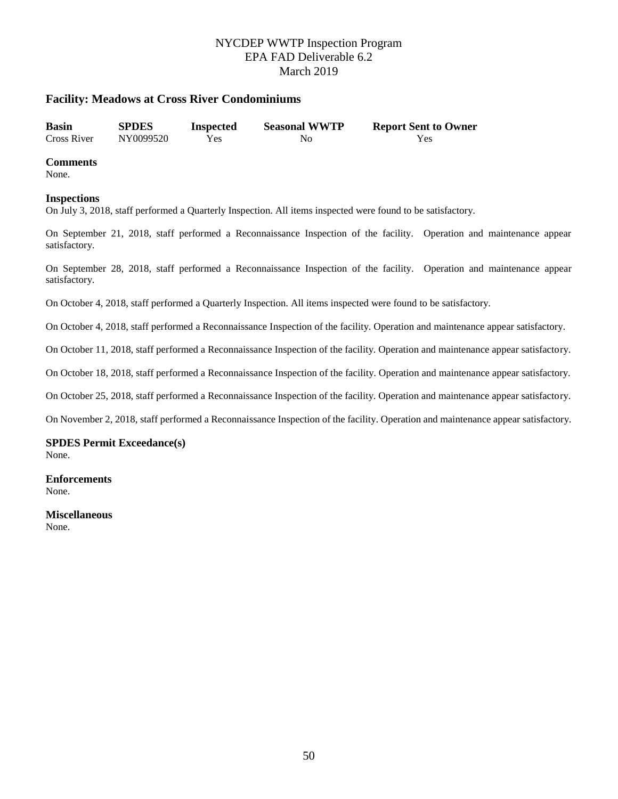### **Facility: Meadows at Cross River Condominiums**

| <b>Basin</b> | <b>SPDES</b> | <b>Inspected</b> | <b>Seasonal WWTP</b> | <b>Report Sent to Owner</b> |
|--------------|--------------|------------------|----------------------|-----------------------------|
| Cross River  | NY0099520    | Yes              | No                   | Yes                         |

#### **Comments**

None.

#### **Inspections**

On July 3, 2018, staff performed a Quarterly Inspection. All items inspected were found to be satisfactory.

On September 21, 2018, staff performed a Reconnaissance Inspection of the facility. Operation and maintenance appear satisfactory.

On September 28, 2018, staff performed a Reconnaissance Inspection of the facility. Operation and maintenance appear satisfactory.

On October 4, 2018, staff performed a Quarterly Inspection. All items inspected were found to be satisfactory.

On October 4, 2018, staff performed a Reconnaissance Inspection of the facility. Operation and maintenance appear satisfactory.

On October 11, 2018, staff performed a Reconnaissance Inspection of the facility. Operation and maintenance appear satisfactory.

On October 18, 2018, staff performed a Reconnaissance Inspection of the facility. Operation and maintenance appear satisfactory.

On October 25, 2018, staff performed a Reconnaissance Inspection of the facility. Operation and maintenance appear satisfactory.

On November 2, 2018, staff performed a Reconnaissance Inspection of the facility. Operation and maintenance appear satisfactory.

#### **SPDES Permit Exceedance(s)** None.

### **Enforcements**

None.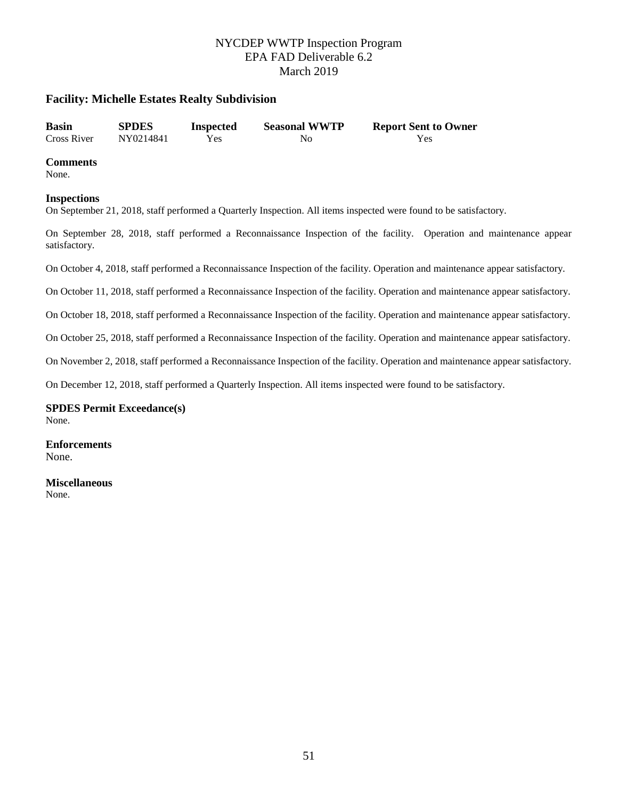### **Facility: Michelle Estates Realty Subdivision**

| <b>Basin</b>       | <b>SPDES</b> | <b>Inspected</b> | <b>Seasonal WWTP</b> | <b>Report Sent to Owner</b> |
|--------------------|--------------|------------------|----------------------|-----------------------------|
| <b>Cross River</b> | NY0214841    | Yes              | No                   | Yes                         |

#### **Comments**

None.

#### **Inspections**

On September 21, 2018, staff performed a Quarterly Inspection. All items inspected were found to be satisfactory.

On September 28, 2018, staff performed a Reconnaissance Inspection of the facility. Operation and maintenance appear satisfactory.

On October 4, 2018, staff performed a Reconnaissance Inspection of the facility. Operation and maintenance appear satisfactory.

On October 11, 2018, staff performed a Reconnaissance Inspection of the facility. Operation and maintenance appear satisfactory.

On October 18, 2018, staff performed a Reconnaissance Inspection of the facility. Operation and maintenance appear satisfactory.

On October 25, 2018, staff performed a Reconnaissance Inspection of the facility. Operation and maintenance appear satisfactory.

On November 2, 2018, staff performed a Reconnaissance Inspection of the facility. Operation and maintenance appear satisfactory.

On December 12, 2018, staff performed a Quarterly Inspection. All items inspected were found to be satisfactory.

#### **SPDES Permit Exceedance(s)** None.

**Enforcements** None.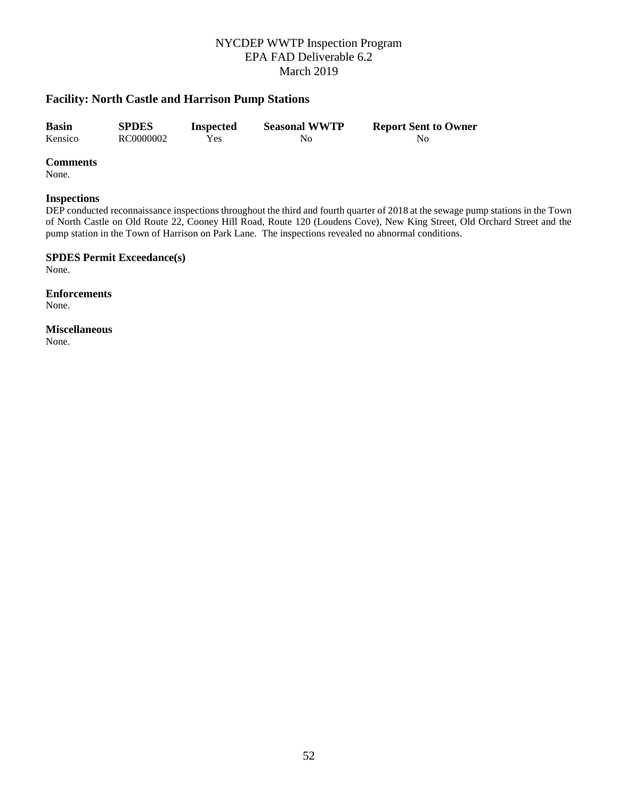### **Facility: North Castle and Harrison Pump Stations**

| <b>Basin</b> | <b>SPDES</b> | <b>Inspected</b> | <b>Seasonal WWTP</b> | <b>Report Sent to Owner</b> |
|--------------|--------------|------------------|----------------------|-----------------------------|
| Kensico      | RC0000002    | Yes              | No                   | No                          |

#### **Comments**

None.

#### **Inspections**

DEP conducted reconnaissance inspections throughout the third and fourth quarter of 2018 at the sewage pump stations in the Town of North Castle on Old Route 22, Cooney Hill Road, Route 120 (Loudens Cove), New King Street, Old Orchard Street and the pump station in the Town of Harrison on Park Lane. The inspections revealed no abnormal conditions.

#### **SPDES Permit Exceedance(s)**

None.

**Enforcements** None.

**Miscellaneous**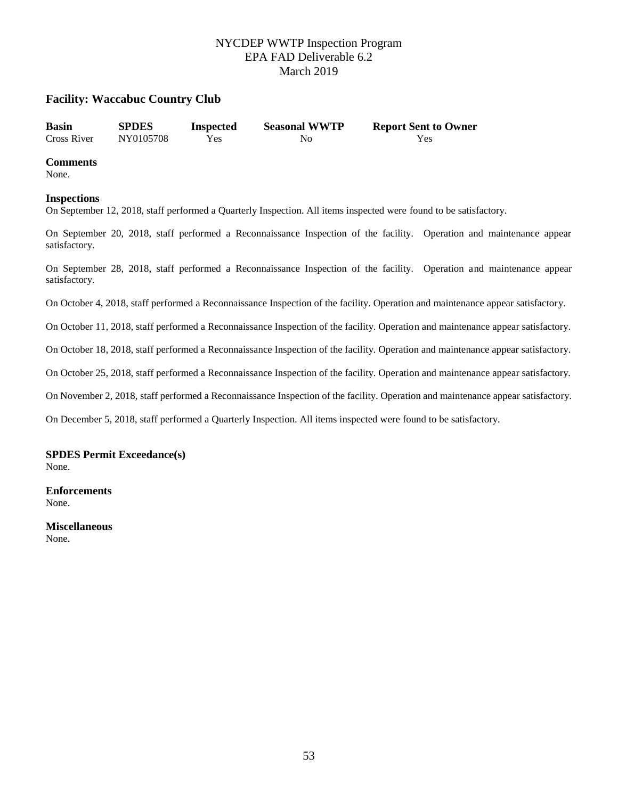### **Facility: Waccabuc Country Club**

| <b>Basin</b> | <b>SPDES</b> | <b>Inspected</b> | <b>Seasonal WWTP</b> | <b>Report Sent to Owner</b> |
|--------------|--------------|------------------|----------------------|-----------------------------|
| Cross River  | NY0105708    | Yes              | No                   | Yes                         |

#### **Comments**

None.

#### **Inspections**

On September 12, 2018, staff performed a Quarterly Inspection. All items inspected were found to be satisfactory.

On September 20, 2018, staff performed a Reconnaissance Inspection of the facility. Operation and maintenance appear satisfactory.

On September 28, 2018, staff performed a Reconnaissance Inspection of the facility. Operation and maintenance appear satisfactory.

On October 4, 2018, staff performed a Reconnaissance Inspection of the facility. Operation and maintenance appear satisfactory.

On October 11, 2018, staff performed a Reconnaissance Inspection of the facility. Operation and maintenance appear satisfactory.

On October 18, 2018, staff performed a Reconnaissance Inspection of the facility. Operation and maintenance appear satisfactory.

On October 25, 2018, staff performed a Reconnaissance Inspection of the facility. Operation and maintenance appear satisfactory.

On November 2, 2018, staff performed a Reconnaissance Inspection of the facility. Operation and maintenance appear satisfactory.

On December 5, 2018, staff performed a Quarterly Inspection. All items inspected were found to be satisfactory.

# **SPDES Permit Exceedance(s)**

None.

#### **Enforcements** None.